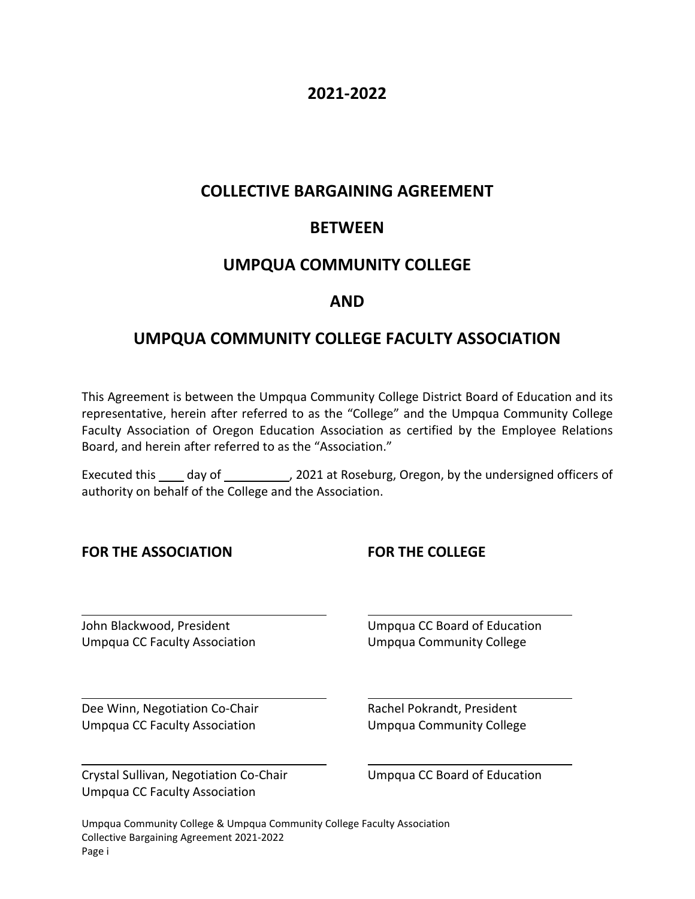# **2021-2022**

# **COLLECTIVE BARGAINING AGREEMENT**

# **BETWEEN**

# **UMPQUA COMMUNITY COLLEGE**

# **AND**

# **UMPQUA COMMUNITY COLLEGE FACULTY ASSOCIATION**

This Agreement is between the Umpqua Community College District Board of Education and its representative, herein after referred to as the "College" and the Umpqua Community College Faculty Association of Oregon Education Association as certified by the Employee Relations Board, and herein after referred to as the "Association."

Executed this \_\_\_\_ day of \_\_\_\_\_\_\_\_\_\_\_, 2021 at Roseburg, Oregon, by the undersigned officers of authority on behalf of the College and the Association.

#### **FOR THE ASSOCIATION FOR THE COLLEGE**

John Blackwood, President The Company CC Board of Education Umpqua CC Faculty Association Umpqua Community College

Dee Winn, Negotiation Co-Chair **Rachel Pokrandt, President** Umpqua CC Faculty Association Umpqua Community College

Crystal Sullivan, Negotiation Co-Chair Umpqua CC Board of Education Umpqua CC Faculty Association

Umpqua Community College & Umpqua Community College Faculty Association Collective Bargaining Agreement 2021-2022 Page i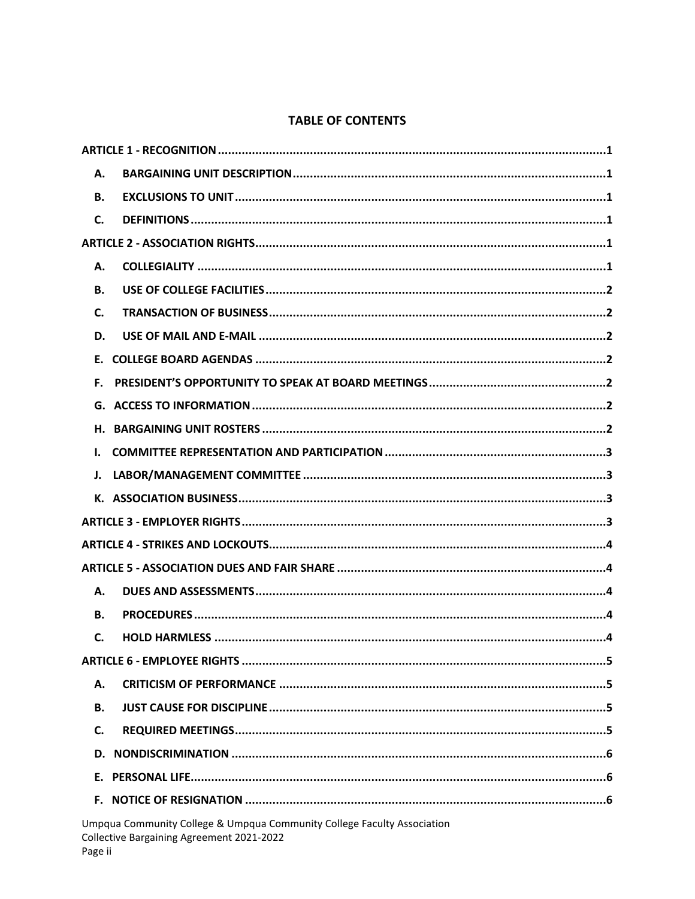# **TABLE OF CONTENTS**

| А.        |                                                                                                                      |
|-----------|----------------------------------------------------------------------------------------------------------------------|
| В.        |                                                                                                                      |
| C.        |                                                                                                                      |
|           |                                                                                                                      |
| А.        |                                                                                                                      |
| <b>B.</b> |                                                                                                                      |
| C.        |                                                                                                                      |
| D.        |                                                                                                                      |
|           |                                                                                                                      |
| Е.        |                                                                                                                      |
| G.        |                                                                                                                      |
| Н.        |                                                                                                                      |
| I.        |                                                                                                                      |
| J.        |                                                                                                                      |
|           |                                                                                                                      |
|           |                                                                                                                      |
|           |                                                                                                                      |
|           |                                                                                                                      |
| Α.        |                                                                                                                      |
| <b>B.</b> |                                                                                                                      |
| C.        |                                                                                                                      |
|           |                                                                                                                      |
| Α.        |                                                                                                                      |
| В.        |                                                                                                                      |
| C.        |                                                                                                                      |
| D.        |                                                                                                                      |
| Е.        |                                                                                                                      |
|           |                                                                                                                      |
|           | Umpqua Community College & Umpqua Community College Faculty Association<br>Collective Bargaining Agreement 2021-2022 |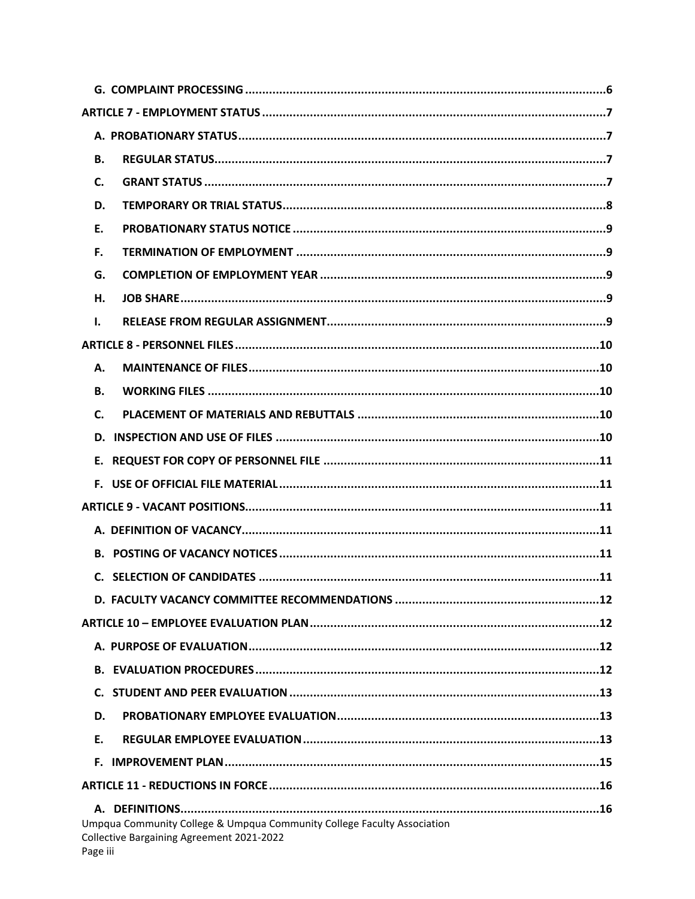| В.                                                                                                                               |  |
|----------------------------------------------------------------------------------------------------------------------------------|--|
| C.                                                                                                                               |  |
| D.                                                                                                                               |  |
| Ε.                                                                                                                               |  |
| F.                                                                                                                               |  |
| G.                                                                                                                               |  |
| Н.                                                                                                                               |  |
| I.                                                                                                                               |  |
|                                                                                                                                  |  |
| А.                                                                                                                               |  |
| <b>B.</b>                                                                                                                        |  |
| C.                                                                                                                               |  |
| D.                                                                                                                               |  |
|                                                                                                                                  |  |
|                                                                                                                                  |  |
|                                                                                                                                  |  |
|                                                                                                                                  |  |
|                                                                                                                                  |  |
|                                                                                                                                  |  |
|                                                                                                                                  |  |
|                                                                                                                                  |  |
|                                                                                                                                  |  |
|                                                                                                                                  |  |
| C.                                                                                                                               |  |
| D.                                                                                                                               |  |
| Е.                                                                                                                               |  |
|                                                                                                                                  |  |
|                                                                                                                                  |  |
| Umpqua Community College & Umpqua Community College Faculty Association<br>Collective Bargaining Agreement 2021-2022<br>Page iii |  |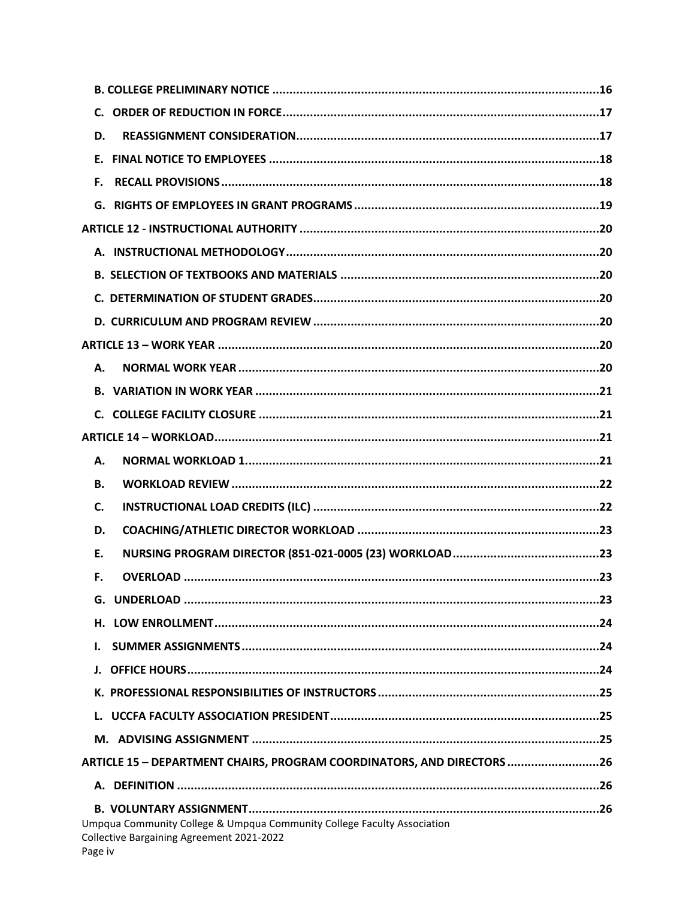| D.        |                                                                       |
|-----------|-----------------------------------------------------------------------|
|           |                                                                       |
| F.        |                                                                       |
|           |                                                                       |
|           |                                                                       |
|           |                                                                       |
|           |                                                                       |
|           |                                                                       |
|           |                                                                       |
|           |                                                                       |
| А.        |                                                                       |
|           |                                                                       |
|           |                                                                       |
|           |                                                                       |
| А.        |                                                                       |
|           |                                                                       |
| <b>B.</b> |                                                                       |
| C.        |                                                                       |
| D.        |                                                                       |
| Ε.        |                                                                       |
| F.        |                                                                       |
|           |                                                                       |
| Н.        |                                                                       |
| ı.        |                                                                       |
|           |                                                                       |
|           |                                                                       |
|           |                                                                       |
|           |                                                                       |
|           | ARTICLE 15 - DEPARTMENT CHAIRS, PROGRAM COORDINATORS, AND DIRECTORS26 |
|           |                                                                       |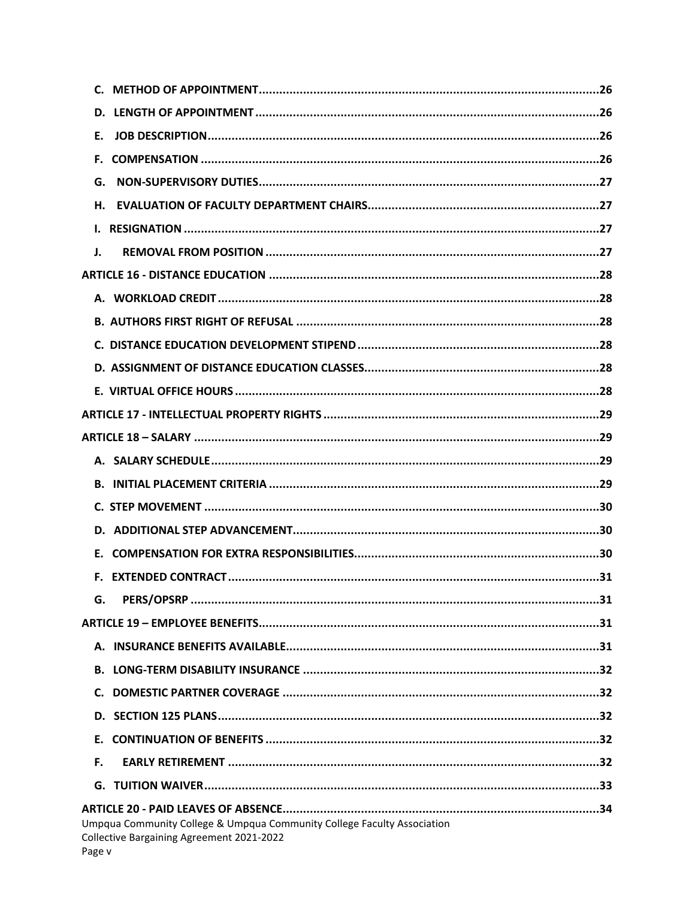| Е.                                                                                                                             |  |
|--------------------------------------------------------------------------------------------------------------------------------|--|
|                                                                                                                                |  |
| G.                                                                                                                             |  |
|                                                                                                                                |  |
|                                                                                                                                |  |
| J.                                                                                                                             |  |
|                                                                                                                                |  |
|                                                                                                                                |  |
|                                                                                                                                |  |
|                                                                                                                                |  |
|                                                                                                                                |  |
|                                                                                                                                |  |
|                                                                                                                                |  |
|                                                                                                                                |  |
|                                                                                                                                |  |
|                                                                                                                                |  |
|                                                                                                                                |  |
|                                                                                                                                |  |
|                                                                                                                                |  |
|                                                                                                                                |  |
| G.                                                                                                                             |  |
|                                                                                                                                |  |
|                                                                                                                                |  |
|                                                                                                                                |  |
|                                                                                                                                |  |
|                                                                                                                                |  |
| Е.                                                                                                                             |  |
| F.                                                                                                                             |  |
|                                                                                                                                |  |
| Umpqua Community College & Umpqua Community College Faculty Association<br>Collective Bargaining Agreement 2021-2022<br>Page v |  |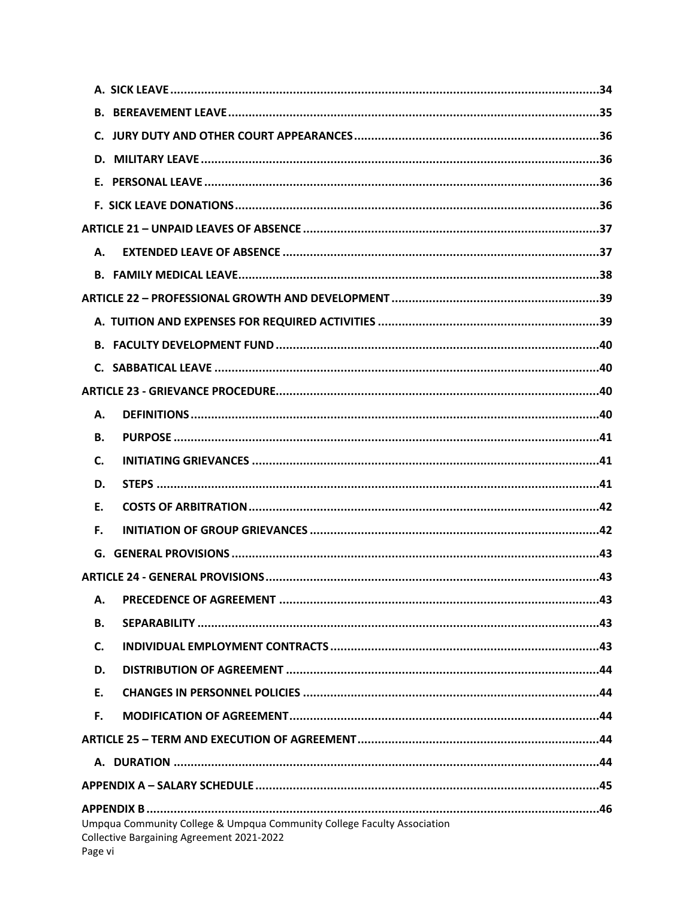| А.      |                                                                                                                      |
|---------|----------------------------------------------------------------------------------------------------------------------|
|         |                                                                                                                      |
|         |                                                                                                                      |
|         |                                                                                                                      |
|         |                                                                                                                      |
|         |                                                                                                                      |
|         |                                                                                                                      |
| А.      |                                                                                                                      |
| В.      |                                                                                                                      |
| C.      |                                                                                                                      |
| D.      |                                                                                                                      |
| Ε.      |                                                                                                                      |
| F.      |                                                                                                                      |
|         |                                                                                                                      |
|         |                                                                                                                      |
| Α.      |                                                                                                                      |
| В.      |                                                                                                                      |
| C.      |                                                                                                                      |
| D.      |                                                                                                                      |
| Ε.      |                                                                                                                      |
| F.      |                                                                                                                      |
|         |                                                                                                                      |
|         |                                                                                                                      |
|         |                                                                                                                      |
| Page vi | Umpqua Community College & Umpqua Community College Faculty Association<br>Collective Bargaining Agreement 2021-2022 |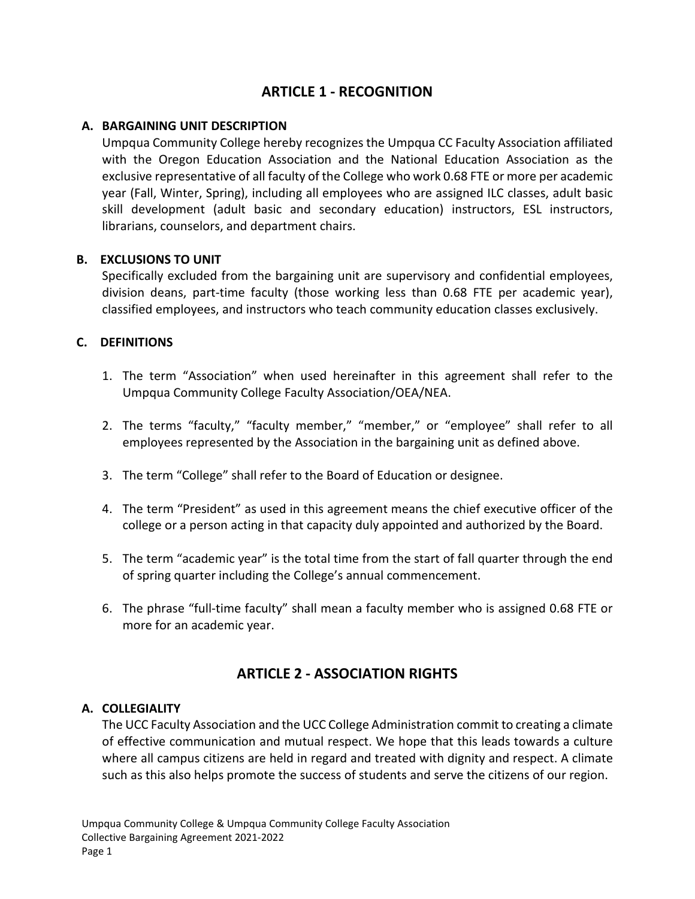# **ARTICLE 1 - RECOGNITION**

#### <span id="page-7-1"></span><span id="page-7-0"></span>**A. BARGAINING UNIT DESCRIPTION**

Umpqua Community College hereby recognizes the Umpqua CC Faculty Association affiliated with the Oregon Education Association and the National Education Association as the exclusive representative of all faculty of the College who work 0.68 FTE or more per academic year (Fall, Winter, Spring), including all employees who are assigned ILC classes, adult basic skill development (adult basic and secondary education) instructors, ESL instructors, librarians, counselors, and department chairs.

#### **B. EXCLUSIONS TO UNIT**

<span id="page-7-2"></span>Specifically excluded from the bargaining unit are supervisory and confidential employees, division deans, part-time faculty (those working less than 0.68 FTE per academic year), classified employees, and instructors who teach community education classes exclusively.

#### <span id="page-7-3"></span>**C. DEFINITIONS**

- 1. The term "Association" when used hereinafter in this agreement shall refer to the Umpqua Community College Faculty Association/OEA/NEA.
- 2. The terms "faculty," "faculty member," "member," or "employee" shall refer to all employees represented by the Association in the bargaining unit as defined above.
- 3. The term "College" shall refer to the Board of Education or designee.
- 4. The term "President" as used in this agreement means the chief executive officer of the college or a person acting in that capacity duly appointed and authorized by the Board.
- 5. The term "academic year" is the total time from the start of fall quarter through the end of spring quarter including the College's annual commencement.
- 6. The phrase "full-time faculty" shall mean a faculty member who is assigned 0.68 FTE or more for an academic year.

# **ARTICLE 2 - ASSOCIATION RIGHTS**

#### <span id="page-7-5"></span><span id="page-7-4"></span>**A. COLLEGIALITY**

The UCC Faculty Association and the UCC College Administration commit to creating a climate of effective communication and mutual respect. We hope that this leads towards a culture where all campus citizens are held in regard and treated with dignity and respect. A climate such as this also helps promote the success of students and serve the citizens of our region.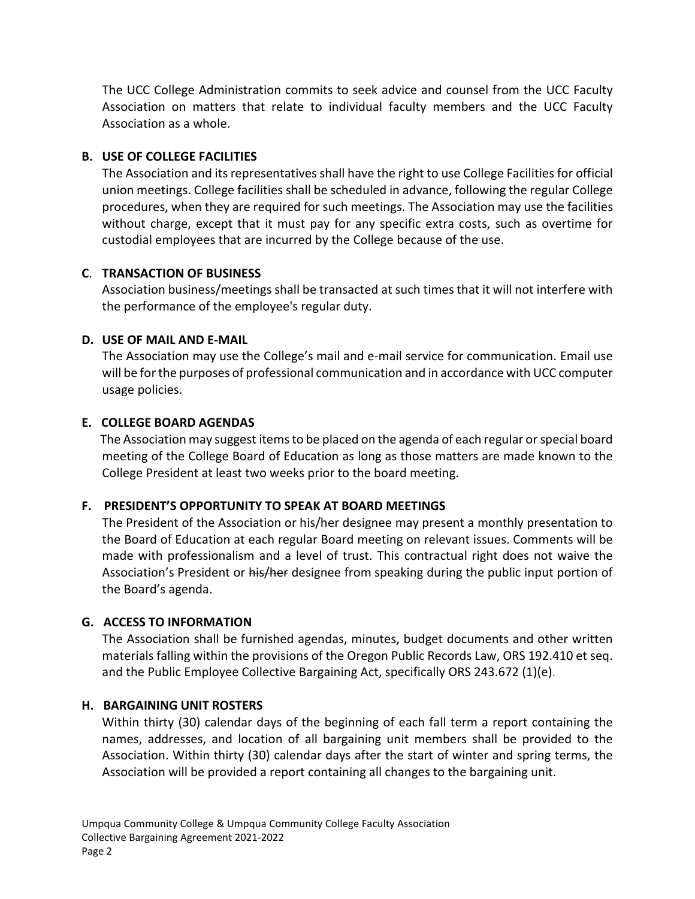The UCC College Administration commits to seek advice and counsel from the UCC Faculty Association on matters that relate to individual faculty members and the UCC Faculty Association as a whole.

#### <span id="page-8-0"></span>**B. USE OF COLLEGE FACILITIES**

The Association and its representatives shall have the right to use College Facilities for official union meetings. College facilities shall be scheduled in advance, following the regular College procedures, when they are required for such meetings. The Association may use the facilities without charge, except that it must pay for any specific extra costs, such as overtime for custodial employees that are incurred by the College because of the use.

## <span id="page-8-1"></span>**C**. **TRANSACTION OF BUSINESS**

Association business/meetings shall be transacted at such times that it will not interfere with the performance of the employee's regular duty.

## <span id="page-8-2"></span>**D. USE OF MAIL AND E-MAIL**

The Association may use the College's mail and e-mail service for communication. Email use will be for the purposes of professional communication and in accordance with UCC computer usage policies.

## <span id="page-8-3"></span>**E. COLLEGE BOARD AGENDAS**

The Association may suggest items to be placed on the agenda of each regular or special board meeting of the College Board of Education as long as those matters are made known to the College President at least two weeks prior to the board meeting.

# <span id="page-8-4"></span>**F. PRESIDENT'S OPPORTUNITY TO SPEAK AT BOARD MEETINGS**

The President of the Association or his/her designee may present a monthly presentation to the Board of Education at each regular Board meeting on relevant issues. Comments will be made with professionalism and a level of trust. This contractual right does not waive the Association's President or his/her designee from speaking during the public input portion of the Board's agenda.

#### <span id="page-8-5"></span>**G. ACCESS TO INFORMATION**

The Association shall be furnished agendas, minutes, budget documents and other written materials falling within the provisions of the Oregon Public Records Law, ORS 192.410 et seq. and the Public Employee Collective Bargaining Act, specifically ORS 243.672 (1)(e).

#### <span id="page-8-6"></span>**H. BARGAINING UNIT ROSTERS**

Within thirty (30) calendar days of the beginning of each fall term a report containing the names, addresses, and location of all bargaining unit members shall be provided to the Association. Within thirty (30) calendar days after the start of winter and spring terms, the Association will be provided a report containing all changes to the bargaining unit.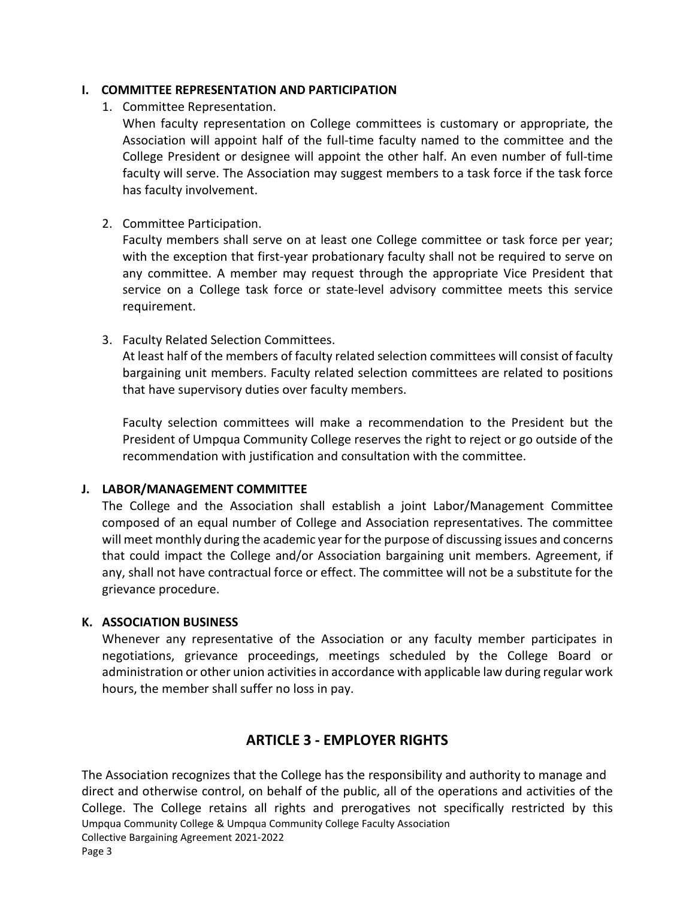#### <span id="page-9-0"></span>**I. COMMITTEE REPRESENTATION AND PARTICIPATION**

1. Committee Representation.

When faculty representation on College committees is customary or appropriate, the Association will appoint half of the full-time faculty named to the committee and the College President or designee will appoint the other half. An even number of full-time faculty will serve. The Association may suggest members to a task force if the task force has faculty involvement.

2. Committee Participation.

Faculty members shall serve on at least one College committee or task force per year; with the exception that first-year probationary faculty shall not be required to serve on any committee. A member may request through the appropriate Vice President that service on a College task force or state-level advisory committee meets this service requirement.

3. Faculty Related Selection Committees.

At least half of the members of faculty related selection committees will consist of faculty bargaining unit members. Faculty related selection committees are related to positions that have supervisory duties over faculty members.

Faculty selection committees will make a recommendation to the President but the President of Umpqua Community College reserves the right to reject or go outside of the recommendation with justification and consultation with the committee.

#### <span id="page-9-1"></span>**J. LABOR/MANAGEMENT COMMITTEE**

The College and the Association shall establish a joint Labor/Management Committee composed of an equal number of College and Association representatives. The committee will meet monthly during the academic year for the purpose of discussing issues and concerns that could impact the College and/or Association bargaining unit members. Agreement, if any, shall not have contractual force or effect. The committee will not be a substitute for the grievance procedure.

#### <span id="page-9-2"></span>**K. ASSOCIATION BUSINESS**

Whenever any representative of the Association or any faculty member participates in negotiations, grievance proceedings, meetings scheduled by the College Board or administration or other union activities in accordance with applicable law during regular work hours, the member shall suffer no loss in pay.

# **ARTICLE 3 - EMPLOYER RIGHTS**

<span id="page-9-3"></span>Umpqua Community College & Umpqua Community College Faculty Association Collective Bargaining Agreement 2021-2022 The Association recognizes that the College has the responsibility and authority to manage and direct and otherwise control, on behalf of the public, all of the operations and activities of the College. The College retains all rights and prerogatives not specifically restricted by this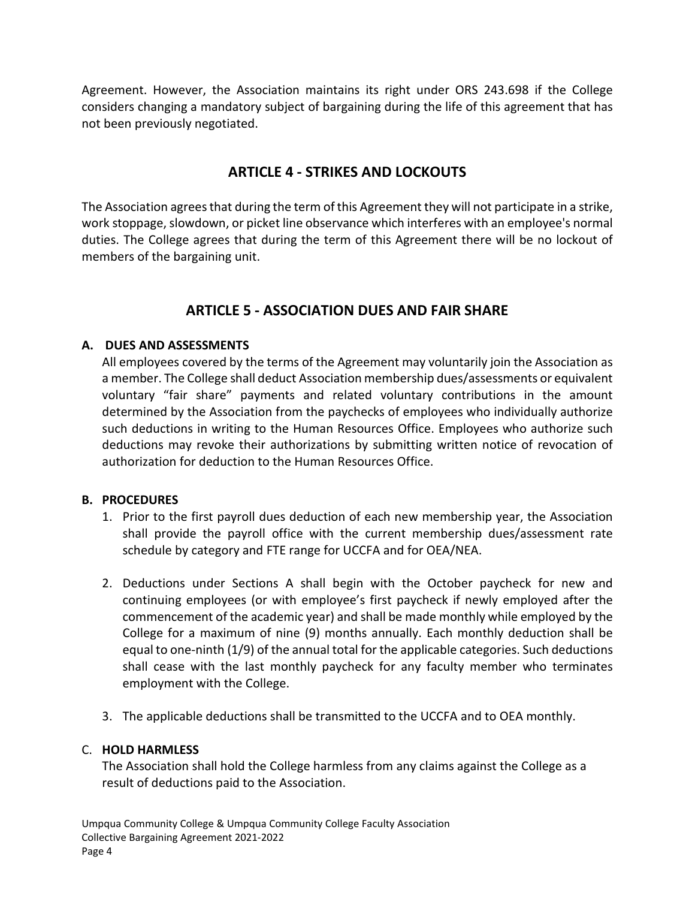Agreement. However, the Association maintains its right under ORS 243.698 if the College considers changing a mandatory subject of bargaining during the life of this agreement that has not been previously negotiated.

# **ARTICLE 4 - STRIKES AND LOCKOUTS**

<span id="page-10-0"></span>The Association agrees that during the term of this Agreement they will not participate in a strike, work stoppage, slowdown, or picket line observance which interferes with an employee's normal duties. The College agrees that during the term of this Agreement there will be no lockout of members of the bargaining unit.

# **ARTICLE 5 - ASSOCIATION DUES AND FAIR SHARE**

#### <span id="page-10-1"></span>**A. DUES AND ASSESSMENTS**

<span id="page-10-2"></span>All employees covered by the terms of the Agreement may voluntarily join the Association as a member. The College shall deduct Association membership dues/assessments or equivalent voluntary "fair share" payments and related voluntary contributions in the amount determined by the Association from the paychecks of employees who individually authorize such deductions in writing to the Human Resources Office. Employees who authorize such deductions may revoke their authorizations by submitting written notice of revocation of authorization for deduction to the Human Resources Office.

#### <span id="page-10-3"></span>**B. PROCEDURES**

- 1. Prior to the first payroll dues deduction of each new membership year, the Association shall provide the payroll office with the current membership dues/assessment rate schedule by category and FTE range for UCCFA and for OEA/NEA.
- 2. Deductions under Sections A shall begin with the October paycheck for new and continuing employees (or with employee's first paycheck if newly employed after the commencement of the academic year) and shall be made monthly while employed by the College for a maximum of nine (9) months annually. Each monthly deduction shall be equal to one-ninth (1/9) of the annual total for the applicable categories. Such deductions shall cease with the last monthly paycheck for any faculty member who terminates employment with the College.
- 3. The applicable deductions shall be transmitted to the UCCFA and to OEA monthly.

#### <span id="page-10-4"></span>C. **HOLD HARMLESS**

The Association shall hold the College harmless from any claims against the College as a result of deductions paid to the Association.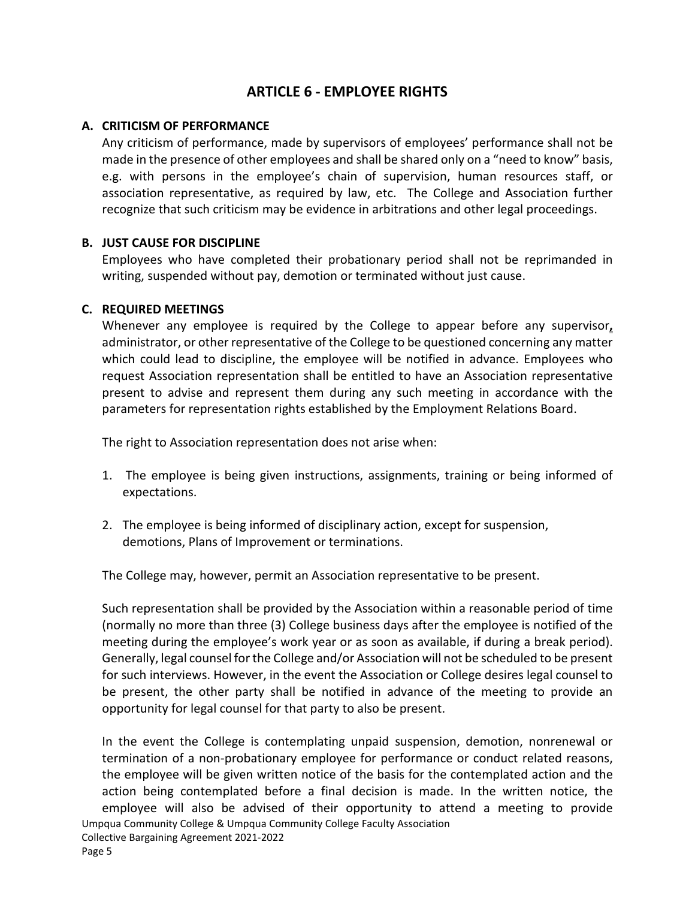# **ARTICLE 6 - EMPLOYEE RIGHTS**

#### <span id="page-11-1"></span><span id="page-11-0"></span>**A. CRITICISM OF PERFORMANCE**

Any criticism of performance, made by supervisors of employees' performance shall not be made in the presence of other employees and shall be shared only on a "need to know" basis, e.g. with persons in the employee's chain of supervision, human resources staff, or association representative, as required by law, etc. The College and Association further recognize that such criticism may be evidence in arbitrations and other legal proceedings.

#### <span id="page-11-2"></span>**B. JUST CAUSE FOR DISCIPLINE**

Employees who have completed their probationary period shall not be reprimanded in writing, suspended without pay, demotion or terminated without just cause.

#### <span id="page-11-3"></span>**C. REQUIRED MEETINGS**

Whenever any employee is required by the College to appear before any supervisor**,** administrator, or other representative of the College to be questioned concerning any matter which could lead to discipline, the employee will be notified in advance. Employees who request Association representation shall be entitled to have an Association representative present to advise and represent them during any such meeting in accordance with the parameters for representation rights established by the Employment Relations Board.

The right to Association representation does not arise when:

- 1. The employee is being given instructions, assignments, training or being informed of expectations.
- 2. The employee is being informed of disciplinary action, except for suspension, demotions, Plans of Improvement or terminations.

The College may, however, permit an Association representative to be present.

Such representation shall be provided by the Association within a reasonable period of time (normally no more than three (3) College business days after the employee is notified of the meeting during the employee's work year or as soon as available, if during a break period). Generally, legal counsel for the College and/or Association will not be scheduled to be present for such interviews. However, in the event the Association or College desires legal counsel to be present, the other party shall be notified in advance of the meeting to provide an opportunity for legal counsel for that party to also be present.

Umpqua Community College & Umpqua Community College Faculty Association In the event the College is contemplating unpaid suspension, demotion, nonrenewal or termination of a non-probationary employee for performance or conduct related reasons, the employee will be given written notice of the basis for the contemplated action and the action being contemplated before a final decision is made. In the written notice, the employee will also be advised of their opportunity to attend a meeting to provide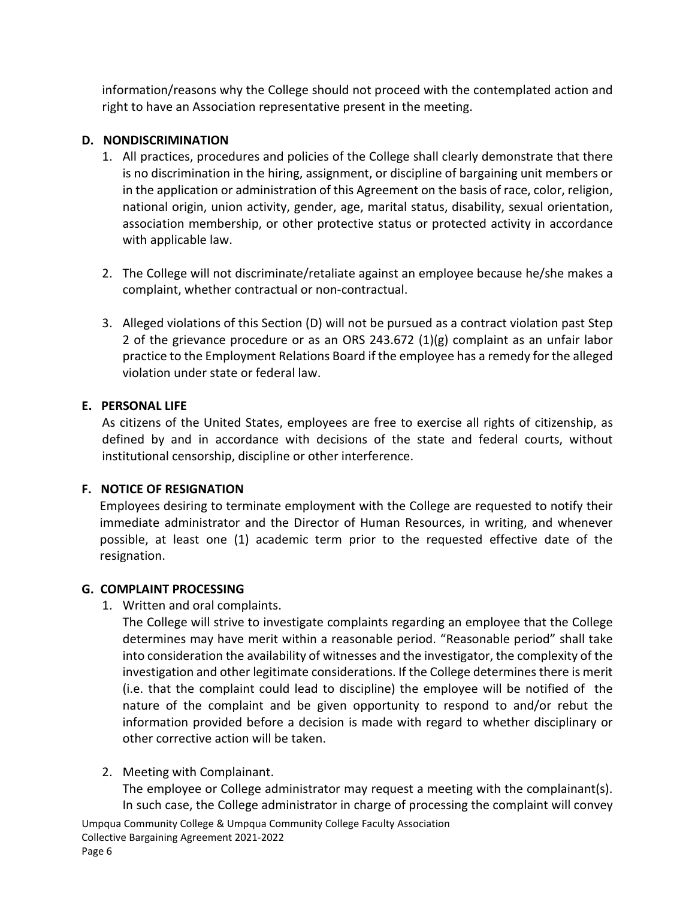information/reasons why the College should not proceed with the contemplated action and right to have an Association representative present in the meeting.

## <span id="page-12-0"></span>**D. NONDISCRIMINATION**

- 1. All practices, procedures and policies of the College shall clearly demonstrate that there is no discrimination in the hiring, assignment, or discipline of bargaining unit members or in the application or administration of this Agreement on the basis of race, color, religion, national origin, union activity, gender, age, marital status, disability, sexual orientation, association membership, or other protective status or protected activity in accordance with applicable law.
- 2. The College will not discriminate/retaliate against an employee because he/she makes a complaint, whether contractual or non-contractual.
- 3. Alleged violations of this Section (D) will not be pursued as a contract violation past Step 2 of the grievance procedure or as an ORS 243.672 (1)(g) complaint as an unfair labor practice to the Employment Relations Board if the employee has a remedy for the alleged violation under state or federal law.

## <span id="page-12-1"></span>**E. PERSONAL LIFE**

As citizens of the United States, employees are free to exercise all rights of citizenship, as defined by and in accordance with decisions of the state and federal courts, without institutional censorship, discipline or other interference.

# <span id="page-12-2"></span>**F. NOTICE OF RESIGNATION**

Employees desiring to terminate employment with the College are requested to notify their immediate administrator and the Director of Human Resources, in writing, and whenever possible, at least one (1) academic term prior to the requested effective date of the resignation.

#### <span id="page-12-3"></span>**G. COMPLAINT PROCESSING**

1. Written and oral complaints.

The College will strive to investigate complaints regarding an employee that the College determines may have merit within a reasonable period. "Reasonable period" shall take into consideration the availability of witnesses and the investigator, the complexity of the investigation and other legitimate considerations. If the College determines there is merit (i.e. that the complaint could lead to discipline) the employee will be notified of the nature of the complaint and be given opportunity to respond to and/or rebut the information provided before a decision is made with regard to whether disciplinary or other corrective action will be taken.

#### 2. Meeting with Complainant.

The employee or College administrator may request a meeting with the complainant(s). In such case, the College administrator in charge of processing the complaint will convey

Umpqua Community College & Umpqua Community College Faculty Association Collective Bargaining Agreement 2021-2022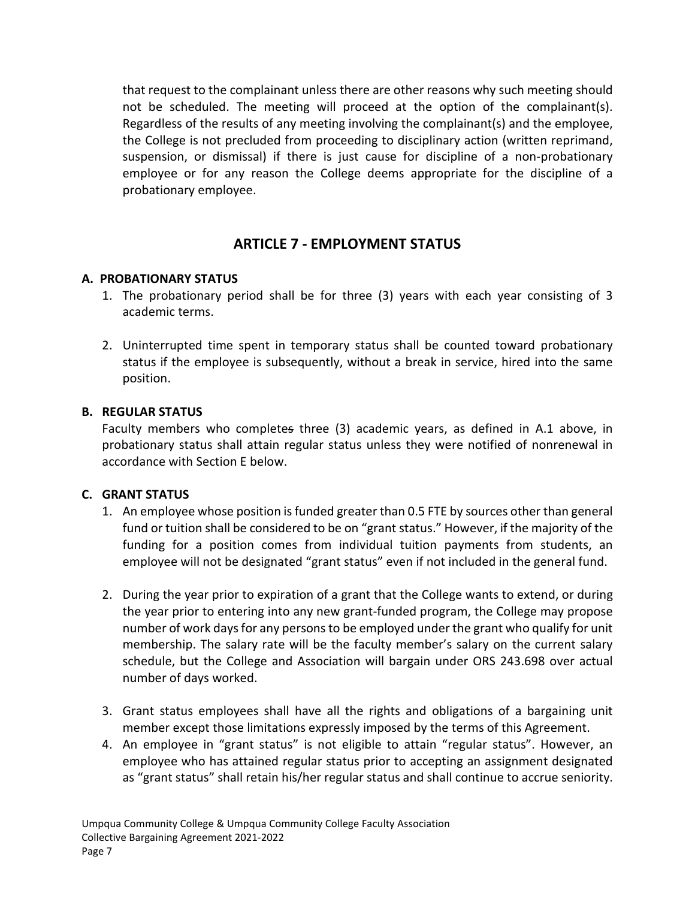that request to the complainant unless there are other reasons why such meeting should not be scheduled. The meeting will proceed at the option of the complainant(s). Regardless of the results of any meeting involving the complainant(s) and the employee, the College is not precluded from proceeding to disciplinary action (written reprimand, suspension, or dismissal) if there is just cause for discipline of a non-probationary employee or for any reason the College deems appropriate for the discipline of a probationary employee.

# **ARTICLE 7 - EMPLOYMENT STATUS**

#### <span id="page-13-1"></span><span id="page-13-0"></span>**A. PROBATIONARY STATUS**

- 1. The probationary period shall be for three (3) years with each year consisting of 3 academic terms.
- 2. Uninterrupted time spent in temporary status shall be counted toward probationary status if the employee is subsequently, without a break in service, hired into the same position.

#### <span id="page-13-2"></span>**B. REGULAR STATUS**

Faculty members who completes three (3) academic years, as defined in A.1 above, in probationary status shall attain regular status unless they were notified of nonrenewal in accordance with Section E below.

#### <span id="page-13-3"></span>**C. GRANT STATUS**

- 1. An employee whose position is funded greater than 0.5 FTE by sources other than general fund or tuition shall be considered to be on "grant status." However, if the majority of the funding for a position comes from individual tuition payments from students, an employee will not be designated "grant status" even if not included in the general fund.
- 2. During the year prior to expiration of a grant that the College wants to extend, or during the year prior to entering into any new grant-funded program, the College may propose number of work days for any persons to be employed under the grant who qualify for unit membership. The salary rate will be the faculty member's salary on the current salary schedule, but the College and Association will bargain under ORS 243.698 over actual number of days worked.
- 3. Grant status employees shall have all the rights and obligations of a bargaining unit member except those limitations expressly imposed by the terms of this Agreement.
- 4. An employee in "grant status" is not eligible to attain "regular status". However, an employee who has attained regular status prior to accepting an assignment designated as "grant status" shall retain his/her regular status and shall continue to accrue seniority.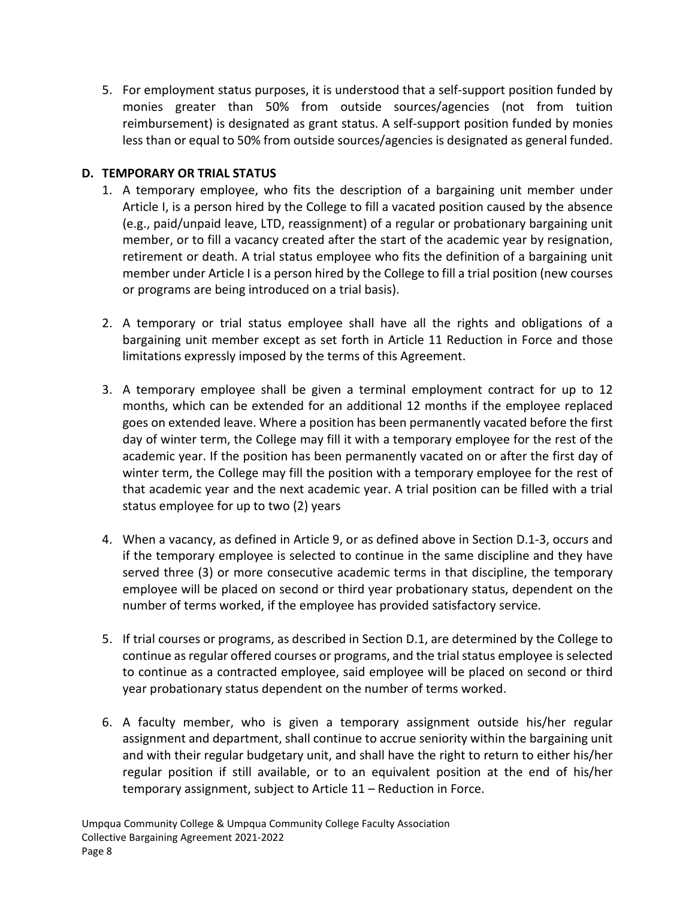5. For employment status purposes, it is understood that a self-support position funded by monies greater than 50% from outside sources/agencies (not from tuition reimbursement) is designated as grant status. A self-support position funded by monies less than or equal to 50% from outside sources/agencies is designated as general funded.

#### <span id="page-14-0"></span>**D. TEMPORARY OR TRIAL STATUS**

- 1. A temporary employee, who fits the description of a bargaining unit member under Article I, is a person hired by the College to fill a vacated position caused by the absence (e.g., paid/unpaid leave, LTD, reassignment) of a regular or probationary bargaining unit member, or to fill a vacancy created after the start of the academic year by resignation, retirement or death. A trial status employee who fits the definition of a bargaining unit member under Article I is a person hired by the College to fill a trial position (new courses or programs are being introduced on a trial basis).
- 2. A temporary or trial status employee shall have all the rights and obligations of a bargaining unit member except as set forth in Article 11 Reduction in Force and those limitations expressly imposed by the terms of this Agreement.
- 3. A temporary employee shall be given a terminal employment contract for up to 12 months, which can be extended for an additional 12 months if the employee replaced goes on extended leave. Where a position has been permanently vacated before the first day of winter term, the College may fill it with a temporary employee for the rest of the academic year. If the position has been permanently vacated on or after the first day of winter term, the College may fill the position with a temporary employee for the rest of that academic year and the next academic year. A trial position can be filled with a trial status employee for up to two (2) years
- 4. When a vacancy, as defined in Article 9, or as defined above in Section D.1-3, occurs and if the temporary employee is selected to continue in the same discipline and they have served three (3) or more consecutive academic terms in that discipline, the temporary employee will be placed on second or third year probationary status, dependent on the number of terms worked, if the employee has provided satisfactory service.
- 5. If trial courses or programs, as described in Section D.1, are determined by the College to continue as regular offered courses or programs, and the trial status employee is selected to continue as a contracted employee, said employee will be placed on second or third year probationary status dependent on the number of terms worked.
- 6. A faculty member, who is given a temporary assignment outside his/her regular assignment and department, shall continue to accrue seniority within the bargaining unit and with their regular budgetary unit, and shall have the right to return to either his/her regular position if still available, or to an equivalent position at the end of his/her temporary assignment, subject to Article 11 – Reduction in Force.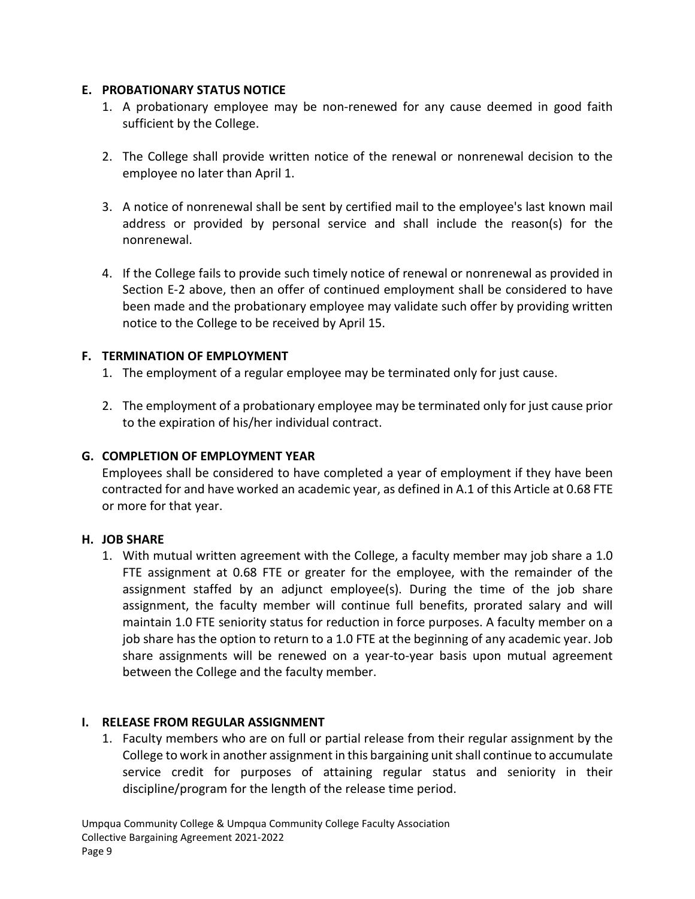#### <span id="page-15-0"></span>**E. PROBATIONARY STATUS NOTICE**

- 1. A probationary employee may be non-renewed for any cause deemed in good faith sufficient by the College.
- 2. The College shall provide written notice of the renewal or nonrenewal decision to the employee no later than April 1.
- 3. A notice of nonrenewal shall be sent by certified mail to the employee's last known mail address or provided by personal service and shall include the reason(s) for the nonrenewal.
- 4. If the College fails to provide such timely notice of renewal or nonrenewal as provided in Section E-2 above, then an offer of continued employment shall be considered to have been made and the probationary employee may validate such offer by providing written notice to the College to be received by April 15.

#### <span id="page-15-1"></span>**F. TERMINATION OF EMPLOYMENT**

- 1. The employment of a regular employee may be terminated only for just cause.
- 2. The employment of a probationary employee may be terminated only for just cause prior to the expiration of his/her individual contract.

#### <span id="page-15-2"></span>**G. COMPLETION OF EMPLOYMENT YEAR**

Employees shall be considered to have completed a year of employment if they have been contracted for and have worked an academic year, as defined in A.1 of this Article at 0.68 FTE or more for that year.

#### <span id="page-15-3"></span>**H. JOB SHARE**

1. With mutual written agreement with the College, a faculty member may job share a 1.0 FTE assignment at 0.68 FTE or greater for the employee, with the remainder of the assignment staffed by an adjunct employee(s). During the time of the job share assignment, the faculty member will continue full benefits, prorated salary and will maintain 1.0 FTE seniority status for reduction in force purposes. A faculty member on a job share has the option to return to a 1.0 FTE at the beginning of any academic year. Job share assignments will be renewed on a year-to-year basis upon mutual agreement between the College and the faculty member.

#### <span id="page-15-4"></span>**I. RELEASE FROM REGULAR ASSIGNMENT**

1. Faculty members who are on full or partial release from their regular assignment by the College to work in another assignment in this bargaining unit shall continue to accumulate service credit for purposes of attaining regular status and seniority in their discipline/program for the length of the release time period.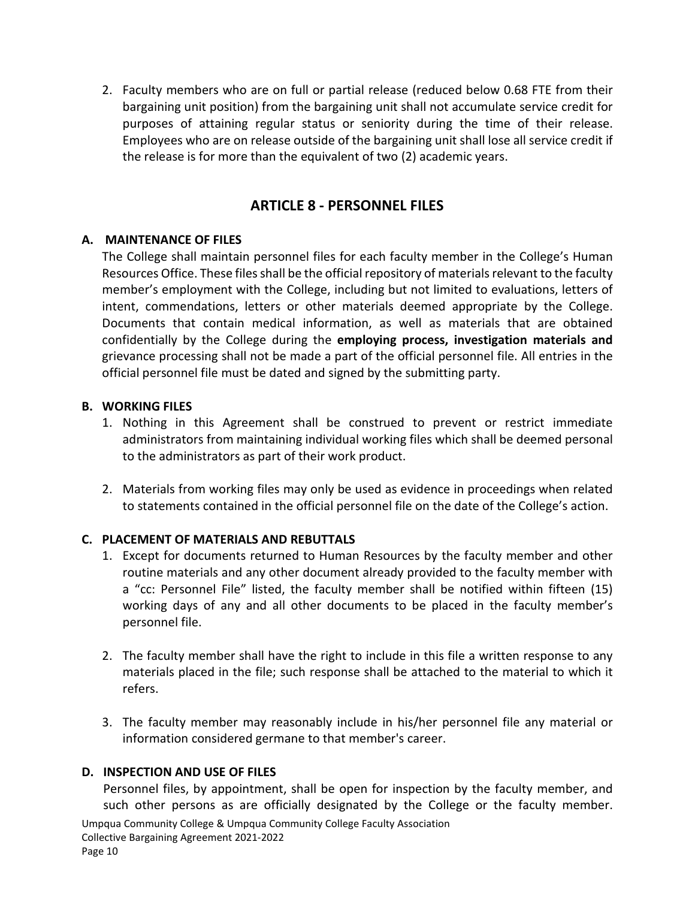2. Faculty members who are on full or partial release (reduced below 0.68 FTE from their bargaining unit position) from the bargaining unit shall not accumulate service credit for purposes of attaining regular status or seniority during the time of their release. Employees who are on release outside of the bargaining unit shall lose all service credit if the release is for more than the equivalent of two (2) academic years.

## **ARTICLE 8 - PERSONNEL FILES**

#### <span id="page-16-0"></span>**A. MAINTENANCE OF FILES**

<span id="page-16-1"></span>The College shall maintain personnel files for each faculty member in the College's Human Resources Office. These files shall be the official repository of materials relevant to the faculty member's employment with the College, including but not limited to evaluations, letters of intent, commendations, letters or other materials deemed appropriate by the College. Documents that contain medical information, as well as materials that are obtained confidentially by the College during the **employing process, investigation materials and** grievance processing shall not be made a part of the official personnel file. All entries in the official personnel file must be dated and signed by the submitting party.

#### <span id="page-16-2"></span>**B. WORKING FILES**

- 1. Nothing in this Agreement shall be construed to prevent or restrict immediate administrators from maintaining individual working files which shall be deemed personal to the administrators as part of their work product.
- 2. Materials from working files may only be used as evidence in proceedings when related to statements contained in the official personnel file on the date of the College's action.

#### <span id="page-16-3"></span>**C. PLACEMENT OF MATERIALS AND REBUTTALS**

- 1. Except for documents returned to Human Resources by the faculty member and other routine materials and any other document already provided to the faculty member with a "cc: Personnel File" listed, the faculty member shall be notified within fifteen (15) working days of any and all other documents to be placed in the faculty member's personnel file.
- 2. The faculty member shall have the right to include in this file a written response to any materials placed in the file; such response shall be attached to the material to which it refers.
- 3. The faculty member may reasonably include in his/her personnel file any material or information considered germane to that member's career.

#### <span id="page-16-4"></span>**D. INSPECTION AND USE OF FILES**

Personnel files, by appointment, shall be open for inspection by the faculty member, and such other persons as are officially designated by the College or the faculty member.

Umpqua Community College & Umpqua Community College Faculty Association Collective Bargaining Agreement 2021-2022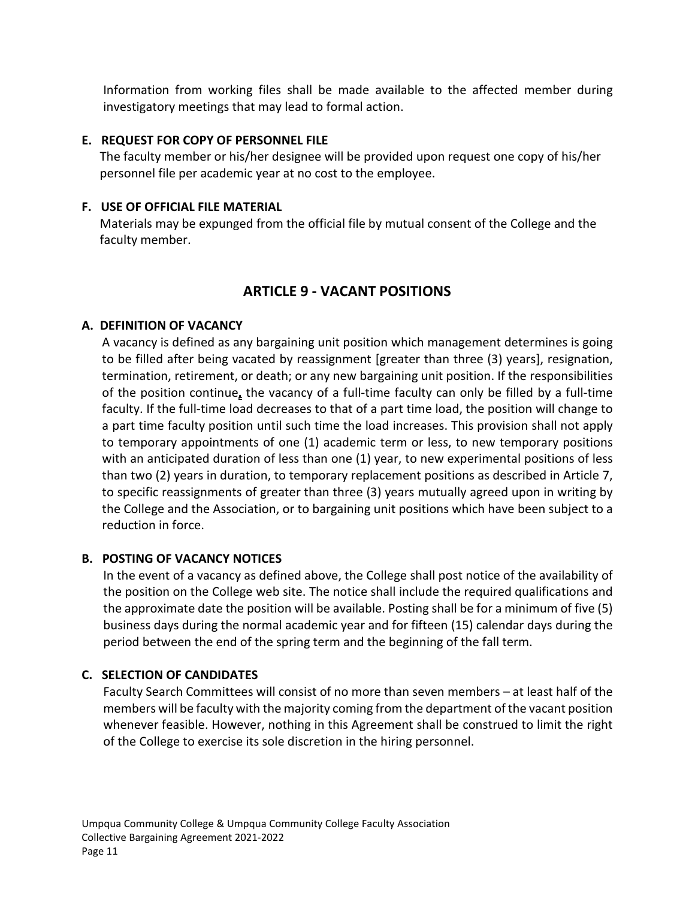Information from working files shall be made available to the affected member during investigatory meetings that may lead to formal action.

#### <span id="page-17-0"></span>**E. REQUEST FOR COPY OF PERSONNEL FILE**

The faculty member or his/her designee will be provided upon request one copy of his/her personnel file per academic year at no cost to the employee.

#### <span id="page-17-1"></span>**F. USE OF OFFICIAL FILE MATERIAL**

Materials may be expunged from the official file by mutual consent of the College and the faculty member.

# **ARTICLE 9 - VACANT POSITIONS**

#### <span id="page-17-3"></span><span id="page-17-2"></span>**A. DEFINITION OF VACANCY**

A vacancy is defined as any bargaining unit position which management determines is going to be filled after being vacated by reassignment [greater than three (3) years], resignation, termination, retirement, or death; or any new bargaining unit position. If the responsibilities of the position continue**,** the vacancy of a full-time faculty can only be filled by a full-time faculty. If the full-time load decreases to that of a part time load, the position will change to a part time faculty position until such time the load increases. This provision shall not apply to temporary appointments of one (1) academic term or less, to new temporary positions with an anticipated duration of less than one (1) year, to new experimental positions of less than two (2) years in duration, to temporary replacement positions as described in Article 7, to specific reassignments of greater than three (3) years mutually agreed upon in writing by the College and the Association, or to bargaining unit positions which have been subject to a reduction in force.

#### <span id="page-17-4"></span>**B. POSTING OF VACANCY NOTICES**

In the event of a vacancy as defined above, the College shall post notice of the availability of the position on the College web site. The notice shall include the required qualifications and the approximate date the position will be available. Posting shall be for a minimum of five (5) business days during the normal academic year and for fifteen (15) calendar days during the period between the end of the spring term and the beginning of the fall term.

#### <span id="page-17-5"></span>**C. SELECTION OF CANDIDATES**

Faculty Search Committees will consist of no more than seven members – at least half of the members will be faculty with the majority coming from the department of the vacant position whenever feasible. However, nothing in this Agreement shall be construed to limit the right of the College to exercise its sole discretion in the hiring personnel.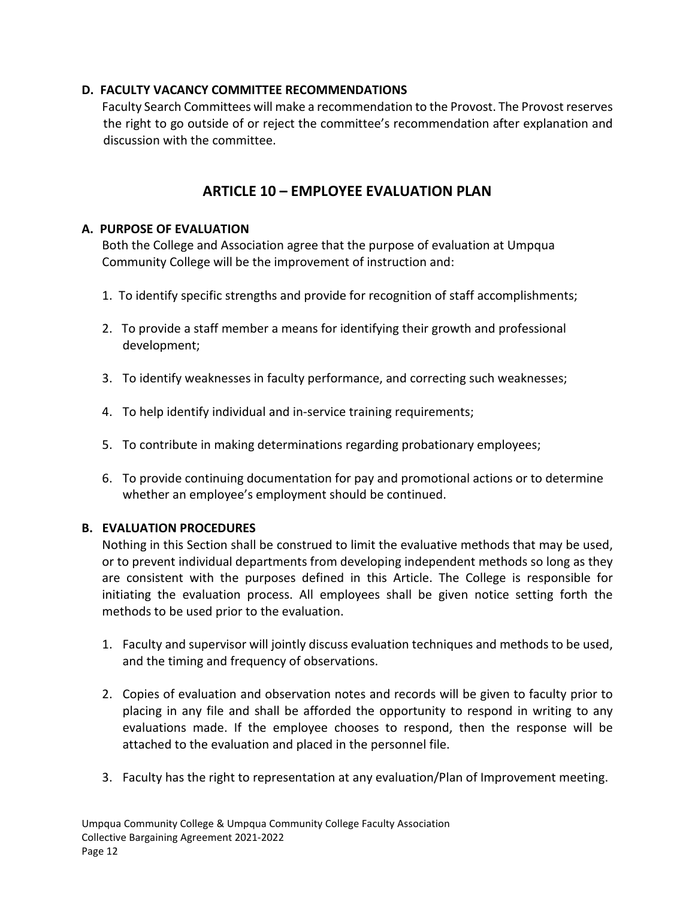## <span id="page-18-0"></span>**D. FACULTY VACANCY COMMITTEE RECOMMENDATIONS**

Faculty Search Committees will make a recommendation to the Provost. The Provost reserves the right to go outside of or reject the committee's recommendation after explanation and discussion with the committee.

# **ARTICLE 10 – EMPLOYEE EVALUATION PLAN**

#### <span id="page-18-2"></span><span id="page-18-1"></span>**A. PURPOSE OF EVALUATION**

Both the College and Association agree that the purpose of evaluation at Umpqua Community College will be the improvement of instruction and:

- 1. To identify specific strengths and provide for recognition of staff accomplishments;
- 2. To provide a staff member a means for identifying their growth and professional development;
- 3. To identify weaknesses in faculty performance, and correcting such weaknesses;
- 4. To help identify individual and in-service training requirements;
- 5. To contribute in making determinations regarding probationary employees;
- 6. To provide continuing documentation for pay and promotional actions or to determine whether an employee's employment should be continued.

# <span id="page-18-3"></span>**B. EVALUATION PROCEDURES**

Nothing in this Section shall be construed to limit the evaluative methods that may be used, or to prevent individual departments from developing independent methods so long as they are consistent with the purposes defined in this Article. The College is responsible for initiating the evaluation process. All employees shall be given notice setting forth the methods to be used prior to the evaluation.

- 1. Faculty and supervisor will jointly discuss evaluation techniques and methods to be used, and the timing and frequency of observations.
- 2. Copies of evaluation and observation notes and records will be given to faculty prior to placing in any file and shall be afforded the opportunity to respond in writing to any evaluations made. If the employee chooses to respond, then the response will be attached to the evaluation and placed in the personnel file.
- 3. Faculty has the right to representation at any evaluation/Plan of Improvement meeting.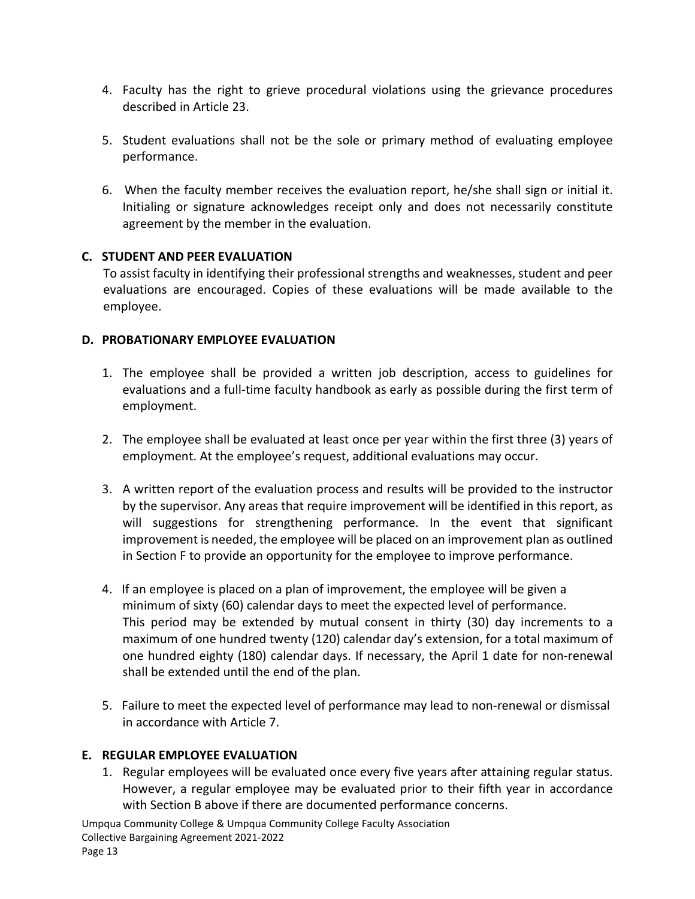- 4. Faculty has the right to grieve procedural violations using the grievance procedures described in Article 23.
- 5. Student evaluations shall not be the sole or primary method of evaluating employee performance.
- 6. When the faculty member receives the evaluation report, he/she shall sign or initial it. Initialing or signature acknowledges receipt only and does not necessarily constitute agreement by the member in the evaluation.

#### <span id="page-19-0"></span>**C. STUDENT AND PEER EVALUATION**

To assist faculty in identifying their professional strengths and weaknesses, student and peer evaluations are encouraged. Copies of these evaluations will be made available to the employee.

## <span id="page-19-1"></span>**D. PROBATIONARY EMPLOYEE EVALUATION**

- 1. The employee shall be provided a written job description, access to guidelines for evaluations and a full-time faculty handbook as early as possible during the first term of employment.
- 2. The employee shall be evaluated at least once per year within the first three (3) years of employment. At the employee's request, additional evaluations may occur.
- 3. A written report of the evaluation process and results will be provided to the instructor by the supervisor. Any areas that require improvement will be identified in this report, as will suggestions for strengthening performance. In the event that significant improvement is needed, the employee will be placed on an improvement plan as outlined in Section F to provide an opportunity for the employee to improve performance.
- 4. If an employee is placed on a plan of improvement, the employee will be given a minimum of sixty (60) calendar days to meet the expected level of performance. This period may be extended by mutual consent in thirty (30) day increments to a maximum of one hundred twenty (120) calendar day's extension, for a total maximum of one hundred eighty (180) calendar days. If necessary, the April 1 date for non-renewal shall be extended until the end of the plan.
- 5. Failure to meet the expected level of performance may lead to non-renewal or dismissal in accordance with Article 7.

# <span id="page-19-2"></span>**E. REGULAR EMPLOYEE EVALUATION**

1. Regular employees will be evaluated once every five years after attaining regular status. However, a regular employee may be evaluated prior to their fifth year in accordance with Section B above if there are documented performance concerns.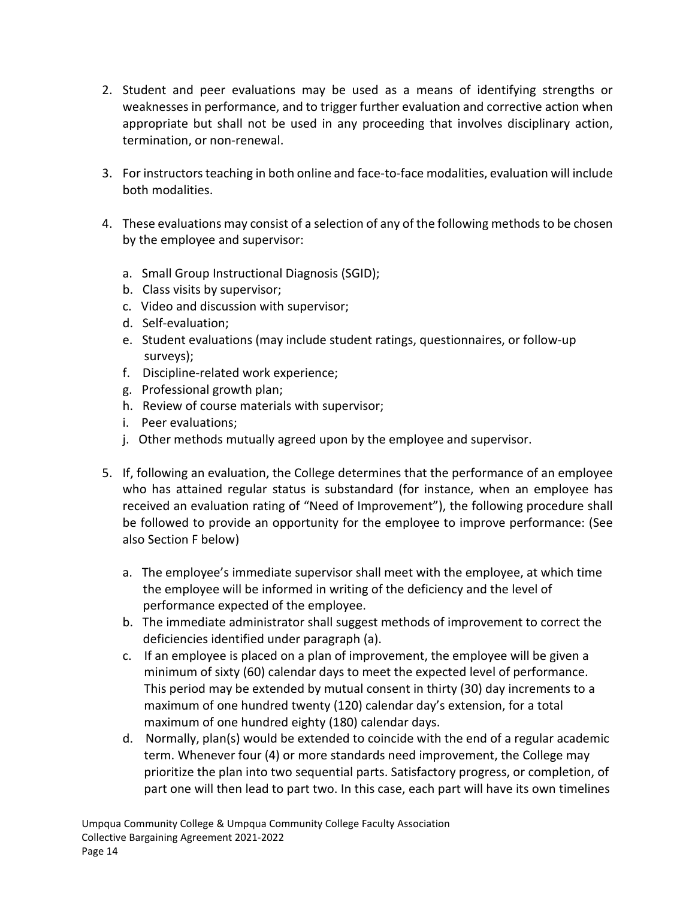- 2. Student and peer evaluations may be used as a means of identifying strengths or weaknesses in performance, and to trigger further evaluation and corrective action when appropriate but shall not be used in any proceeding that involves disciplinary action, termination, or non-renewal.
- 3. For instructors teaching in both online and face-to-face modalities, evaluation will include both modalities.
- 4. These evaluations may consist of a selection of any of the following methods to be chosen by the employee and supervisor:
	- a. Small Group Instructional Diagnosis (SGID);
	- b. Class visits by supervisor;
	- c. Video and discussion with supervisor;
	- d. Self-evaluation;
	- e. Student evaluations (may include student ratings, questionnaires, or follow-up surveys);
	- f. Discipline-related work experience;
	- g. Professional growth plan;
	- h. Review of course materials with supervisor;
	- i. Peer evaluations;
	- j. Other methods mutually agreed upon by the employee and supervisor.
- 5. If, following an evaluation, the College determines that the performance of an employee who has attained regular status is substandard (for instance, when an employee has received an evaluation rating of "Need of Improvement"), the following procedure shall be followed to provide an opportunity for the employee to improve performance: (See also Section F below)
	- a. The employee's immediate supervisor shall meet with the employee, at which time the employee will be informed in writing of the deficiency and the level of performance expected of the employee.
	- b. The immediate administrator shall suggest methods of improvement to correct the deficiencies identified under paragraph (a).
	- c. If an employee is placed on a plan of improvement, the employee will be given a minimum of sixty (60) calendar days to meet the expected level of performance. This period may be extended by mutual consent in thirty (30) day increments to a maximum of one hundred twenty (120) calendar day's extension, for a total maximum of one hundred eighty (180) calendar days.
	- d. Normally, plan(s) would be extended to coincide with the end of a regular academic term. Whenever four (4) or more standards need improvement, the College may prioritize the plan into two sequential parts. Satisfactory progress, or completion, of part one will then lead to part two. In this case, each part will have its own timelines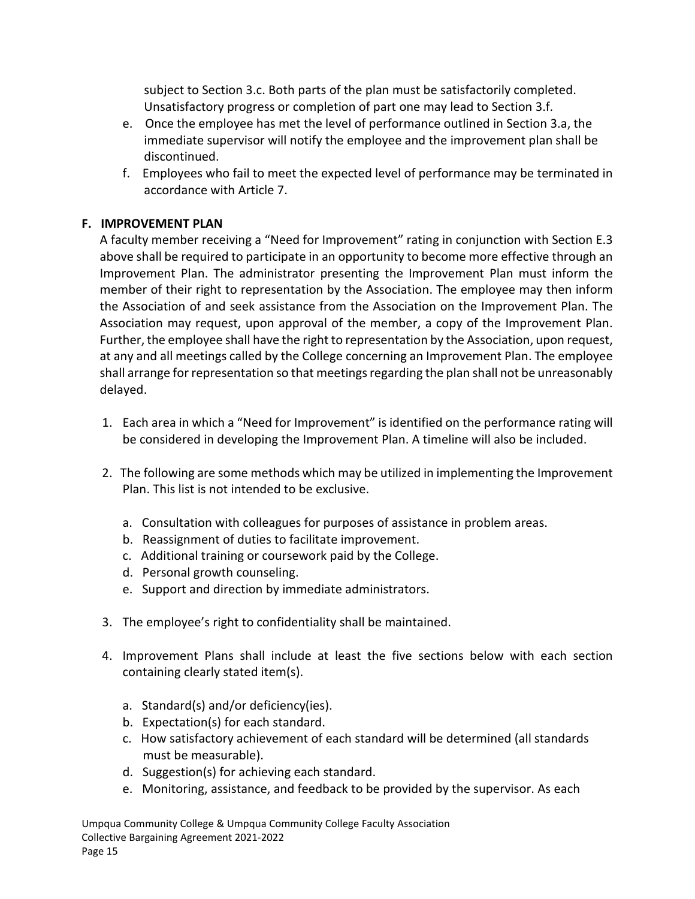subject to Section 3.c. Both parts of the plan must be satisfactorily completed. Unsatisfactory progress or completion of part one may lead to Section 3.f.

- e. Once the employee has met the level of performance outlined in Section 3.a, the immediate supervisor will notify the employee and the improvement plan shall be discontinued.
- f. Employees who fail to meet the expected level of performance may be terminated in accordance with Article 7.

# <span id="page-21-0"></span>**F. IMPROVEMENT PLAN**

A faculty member receiving a "Need for Improvement" rating in conjunction with Section E.3 above shall be required to participate in an opportunity to become more effective through an Improvement Plan. The administrator presenting the Improvement Plan must inform the member of their right to representation by the Association. The employee may then inform the Association of and seek assistance from the Association on the Improvement Plan. The Association may request, upon approval of the member, a copy of the Improvement Plan. Further, the employee shall have the right to representation by the Association, upon request, at any and all meetings called by the College concerning an Improvement Plan. The employee shall arrange for representation so that meetings regarding the plan shall not be unreasonably delayed.

- 1. Each area in which a "Need for Improvement" is identified on the performance rating will be considered in developing the Improvement Plan. A timeline will also be included.
- 2. The following are some methods which may be utilized in implementing the Improvement Plan. This list is not intended to be exclusive.
	- a. Consultation with colleagues for purposes of assistance in problem areas.
	- b. Reassignment of duties to facilitate improvement.
	- c. Additional training or coursework paid by the College.
	- d. Personal growth counseling.
	- e. Support and direction by immediate administrators.
- 3. The employee's right to confidentiality shall be maintained.
- 4. Improvement Plans shall include at least the five sections below with each section containing clearly stated item(s).
	- a. Standard(s) and/or deficiency(ies).
	- b. Expectation(s) for each standard.
	- c. How satisfactory achievement of each standard will be determined (all standards must be measurable).
	- d. Suggestion(s) for achieving each standard.
	- e. Monitoring, assistance, and feedback to be provided by the supervisor. As each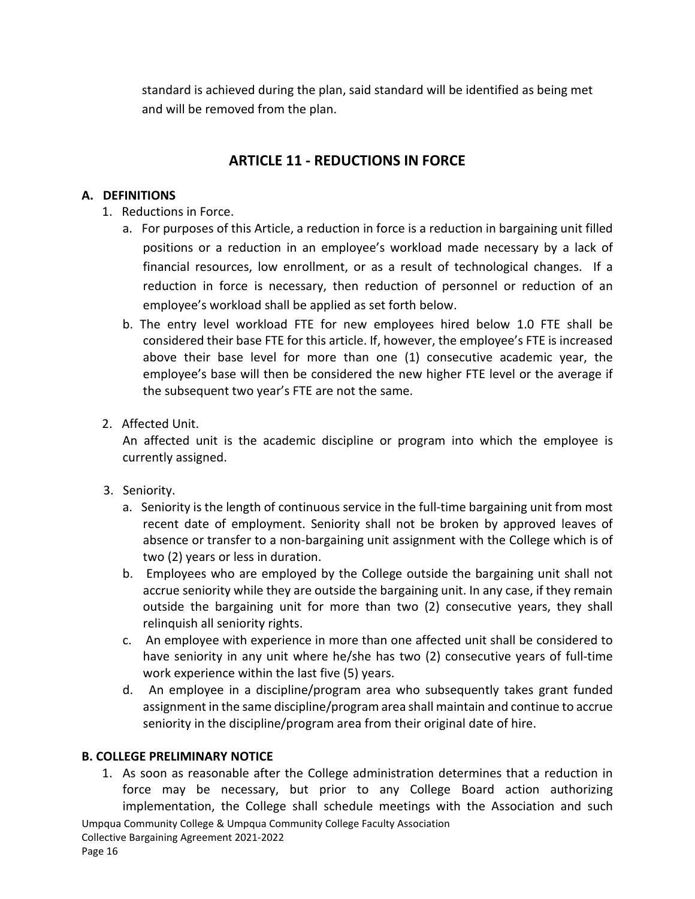standard is achieved during the plan, said standard will be identified as being met and will be removed from the plan.

# **ARTICLE 11 - REDUCTIONS IN FORCE**

## <span id="page-22-1"></span><span id="page-22-0"></span>**A. DEFINITIONS**

- 1. Reductions in Force.
	- a. For purposes of this Article, a reduction in force is a reduction in bargaining unit filled positions or a reduction in an employee's workload made necessary by a lack of financial resources, low enrollment, or as a result of technological changes. If a reduction in force is necessary, then reduction of personnel or reduction of an employee's workload shall be applied as set forth below.
	- b. The entry level workload FTE for new employees hired below 1.0 FTE shall be considered their base FTE for this article. If, however, the employee's FTE is increased above their base level for more than one (1) consecutive academic year, the employee's base will then be considered the new higher FTE level or the average if the subsequent two year's FTE are not the same.
- 2. Affected Unit.

An affected unit is the academic discipline or program into which the employee is currently assigned.

- 3. Seniority.
	- a. Seniority is the length of continuous service in the full-time bargaining unit from most recent date of employment. Seniority shall not be broken by approved leaves of absence or transfer to a non-bargaining unit assignment with the College which is of two (2) years or less in duration.
	- b. Employees who are employed by the College outside the bargaining unit shall not accrue seniority while they are outside the bargaining unit. In any case, if they remain outside the bargaining unit for more than two (2) consecutive years, they shall relinquish all seniority rights.
	- c. An employee with experience in more than one affected unit shall be considered to have seniority in any unit where he/she has two (2) consecutive years of full-time work experience within the last five (5) years.
	- d. An employee in a discipline/program area who subsequently takes grant funded assignment in the same discipline/program area shall maintain and continue to accrue seniority in the discipline/program area from their original date of hire.

#### <span id="page-22-2"></span>**B. COLLEGE PRELIMINARY NOTICE**

1. As soon as reasonable after the College administration determines that a reduction in force may be necessary, but prior to any College Board action authorizing implementation, the College shall schedule meetings with the Association and such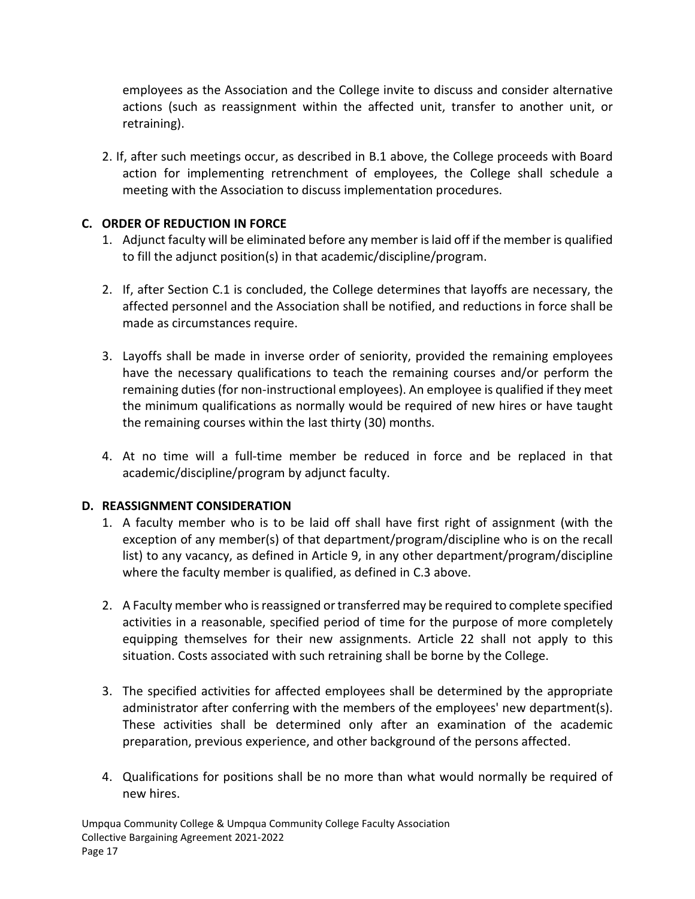employees as the Association and the College invite to discuss and consider alternative actions (such as reassignment within the affected unit, transfer to another unit, or retraining).

2. If, after such meetings occur, as described in B.1 above, the College proceeds with Board action for implementing retrenchment of employees, the College shall schedule a meeting with the Association to discuss implementation procedures.

## <span id="page-23-0"></span>**C. ORDER OF REDUCTION IN FORCE**

- 1. Adjunct faculty will be eliminated before any member is laid off if the member is qualified to fill the adjunct position(s) in that academic/discipline/program.
- 2. If, after Section C.1 is concluded, the College determines that layoffs are necessary, the affected personnel and the Association shall be notified, and reductions in force shall be made as circumstances require.
- 3. Layoffs shall be made in inverse order of seniority, provided the remaining employees have the necessary qualifications to teach the remaining courses and/or perform the remaining duties (for non-instructional employees). An employee is qualified if they meet the minimum qualifications as normally would be required of new hires or have taught the remaining courses within the last thirty (30) months.
- 4. At no time will a full-time member be reduced in force and be replaced in that academic/discipline/program by adjunct faculty.

# <span id="page-23-1"></span>**D. REASSIGNMENT CONSIDERATION**

- 1. A faculty member who is to be laid off shall have first right of assignment (with the exception of any member(s) of that department/program/discipline who is on the recall list) to any vacancy, as defined in Article 9, in any other department/program/discipline where the faculty member is qualified, as defined in C.3 above.
- 2. A Faculty member who is reassigned or transferred may be required to complete specified activities in a reasonable, specified period of time for the purpose of more completely equipping themselves for their new assignments. Article 22 shall not apply to this situation. Costs associated with such retraining shall be borne by the College.
- 3. The specified activities for affected employees shall be determined by the appropriate administrator after conferring with the members of the employees' new department(s). These activities shall be determined only after an examination of the academic preparation, previous experience, and other background of the persons affected.
- 4. Qualifications for positions shall be no more than what would normally be required of new hires.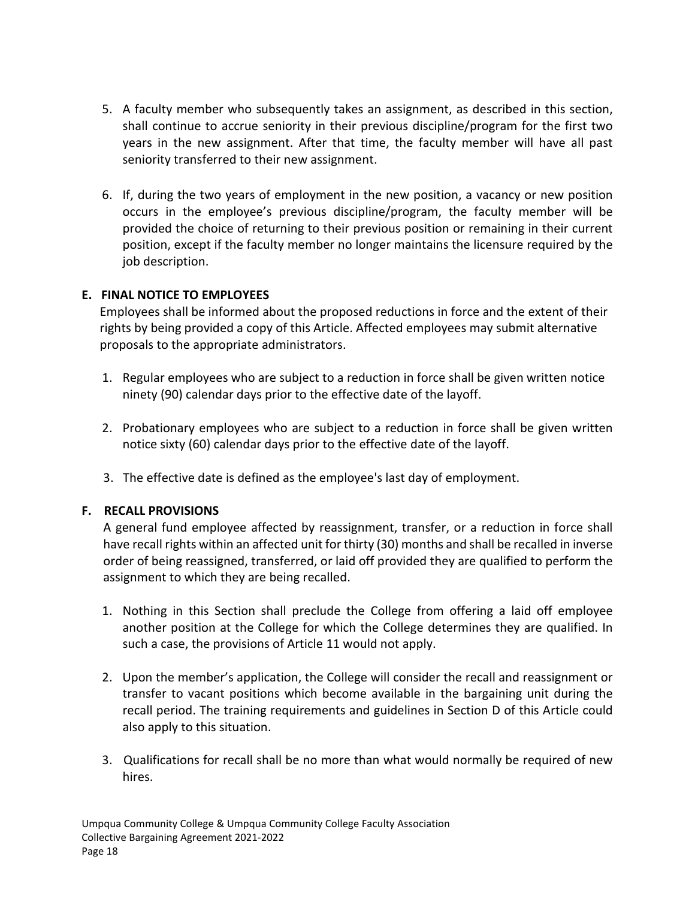- 5. A faculty member who subsequently takes an assignment, as described in this section, shall continue to accrue seniority in their previous discipline/program for the first two years in the new assignment. After that time, the faculty member will have all past seniority transferred to their new assignment.
- 6. If, during the two years of employment in the new position, a vacancy or new position occurs in the employee's previous discipline/program, the faculty member will be provided the choice of returning to their previous position or remaining in their current position, except if the faculty member no longer maintains the licensure required by the job description.

#### <span id="page-24-0"></span>**E. FINAL NOTICE TO EMPLOYEES**

Employees shall be informed about the proposed reductions in force and the extent of their rights by being provided a copy of this Article. Affected employees may submit alternative proposals to the appropriate administrators.

- 1. Regular employees who are subject to a reduction in force shall be given written notice ninety (90) calendar days prior to the effective date of the layoff.
- 2. Probationary employees who are subject to a reduction in force shall be given written notice sixty (60) calendar days prior to the effective date of the layoff.
- 3. The effective date is defined as the employee's last day of employment.

#### <span id="page-24-1"></span>**F. RECALL PROVISIONS**

A general fund employee affected by reassignment, transfer, or a reduction in force shall have recall rights within an affected unit for thirty (30) months and shall be recalled in inverse order of being reassigned, transferred, or laid off provided they are qualified to perform the assignment to which they are being recalled.

- 1. Nothing in this Section shall preclude the College from offering a laid off employee another position at the College for which the College determines they are qualified. In such a case, the provisions of Article 11 would not apply.
- 2. Upon the member's application, the College will consider the recall and reassignment or transfer to vacant positions which become available in the bargaining unit during the recall period. The training requirements and guidelines in Section D of this Article could also apply to this situation.
- 3. Qualifications for recall shall be no more than what would normally be required of new hires.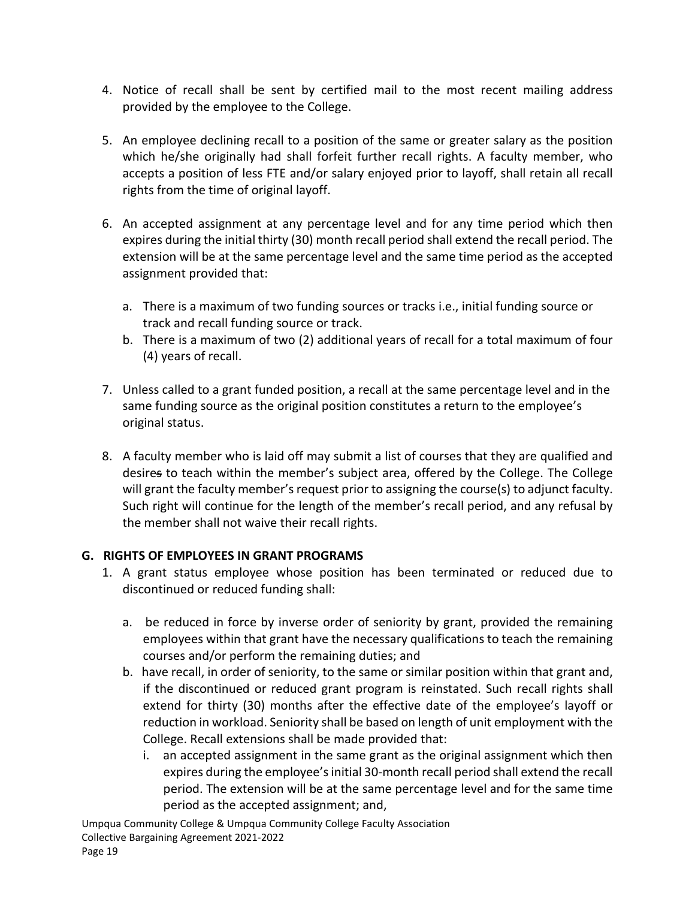- 4. Notice of recall shall be sent by certified mail to the most recent mailing address provided by the employee to the College.
- 5. An employee declining recall to a position of the same or greater salary as the position which he/she originally had shall forfeit further recall rights. A faculty member, who accepts a position of less FTE and/or salary enjoyed prior to layoff, shall retain all recall rights from the time of original layoff.
- 6. An accepted assignment at any percentage level and for any time period which then expires during the initial thirty (30) month recall period shall extend the recall period. The extension will be at the same percentage level and the same time period as the accepted assignment provided that:
	- a. There is a maximum of two funding sources or tracks i.e., initial funding source or track and recall funding source or track.
	- b. There is a maximum of two (2) additional years of recall for a total maximum of four (4) years of recall.
- 7. Unless called to a grant funded position, a recall at the same percentage level and in the same funding source as the original position constitutes a return to the employee's original status.
- 8. A faculty member who is laid off may submit a list of courses that they are qualified and desires to teach within the member's subject area, offered by the College. The College will grant the faculty member's request prior to assigning the course(s) to adjunct faculty. Such right will continue for the length of the member's recall period, and any refusal by the member shall not waive their recall rights.

# <span id="page-25-0"></span>**G. RIGHTS OF EMPLOYEES IN GRANT PROGRAMS**

- 1. A grant status employee whose position has been terminated or reduced due to discontinued or reduced funding shall:
	- a. be reduced in force by inverse order of seniority by grant, provided the remaining employees within that grant have the necessary qualifications to teach the remaining courses and/or perform the remaining duties; and
	- b. have recall, in order of seniority, to the same or similar position within that grant and, if the discontinued or reduced grant program is reinstated. Such recall rights shall extend for thirty (30) months after the effective date of the employee's layoff or reduction in workload. Seniority shall be based on length of unit employment with the College. Recall extensions shall be made provided that:
		- i. an accepted assignment in the same grant as the original assignment which then expires during the employee's initial 30-month recall period shall extend the recall period. The extension will be at the same percentage level and for the same time period as the accepted assignment; and,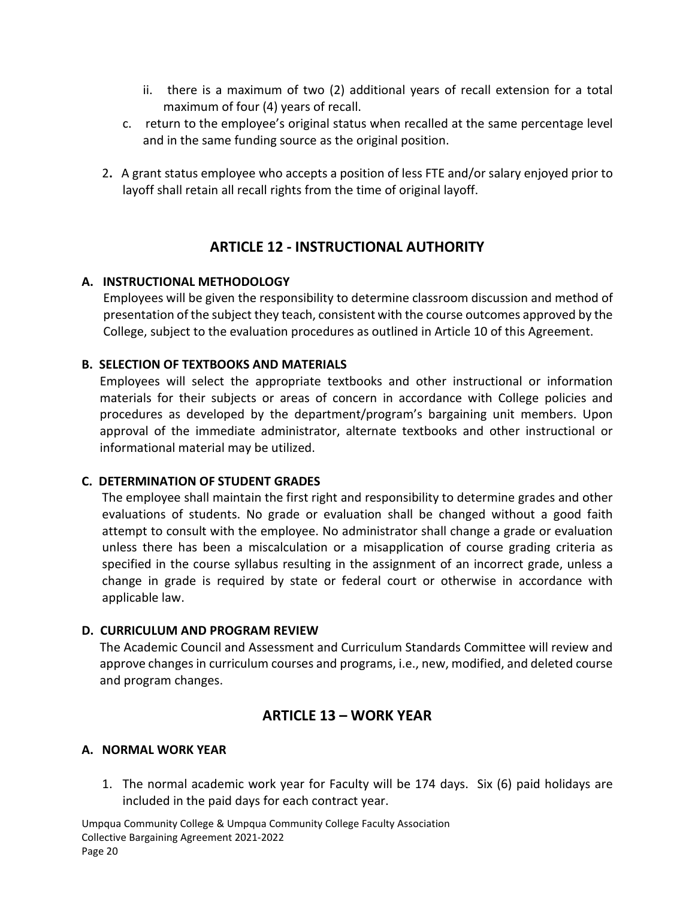- ii. there is a maximum of two (2) additional years of recall extension for a total maximum of four (4) years of recall.
- c. return to the employee's original status when recalled at the same percentage level and in the same funding source as the original position.
- 2**.** A grant status employee who accepts a position of less FTE and/or salary enjoyed prior to layoff shall retain all recall rights from the time of original layoff.

# **ARTICLE 12 - INSTRUCTIONAL AUTHORITY**

#### <span id="page-26-1"></span><span id="page-26-0"></span>**A. INSTRUCTIONAL METHODOLOGY**

Employees will be given the responsibility to determine classroom discussion and method of presentation of the subject they teach, consistent with the course outcomes approved by the College, subject to the evaluation procedures as outlined in Article 10 of this Agreement.

#### <span id="page-26-2"></span>**B. SELECTION OF TEXTBOOKS AND MATERIALS**

Employees will select the appropriate textbooks and other instructional or information materials for their subjects or areas of concern in accordance with College policies and procedures as developed by the department/program's bargaining unit members. Upon approval of the immediate administrator, alternate textbooks and other instructional or informational material may be utilized.

#### <span id="page-26-3"></span>**C. DETERMINATION OF STUDENT GRADES**

The employee shall maintain the first right and responsibility to determine grades and other evaluations of students. No grade or evaluation shall be changed without a good faith attempt to consult with the employee. No administrator shall change a grade or evaluation unless there has been a miscalculation or a misapplication of course grading criteria as specified in the course syllabus resulting in the assignment of an incorrect grade, unless a change in grade is required by state or federal court or otherwise in accordance with applicable law.

#### <span id="page-26-4"></span>**D. CURRICULUM AND PROGRAM REVIEW**

The Academic Council and Assessment and Curriculum Standards Committee will review and approve changes in curriculum courses and programs, i.e., new, modified, and deleted course and program changes.

# **ARTICLE 13 – WORK YEAR**

#### <span id="page-26-6"></span><span id="page-26-5"></span>**A. NORMAL WORK YEAR**

1. The normal academic work year for Faculty will be 174 days. Six (6) paid holidays are included in the paid days for each contract year.

Umpqua Community College & Umpqua Community College Faculty Association Collective Bargaining Agreement 2021-2022 Page 20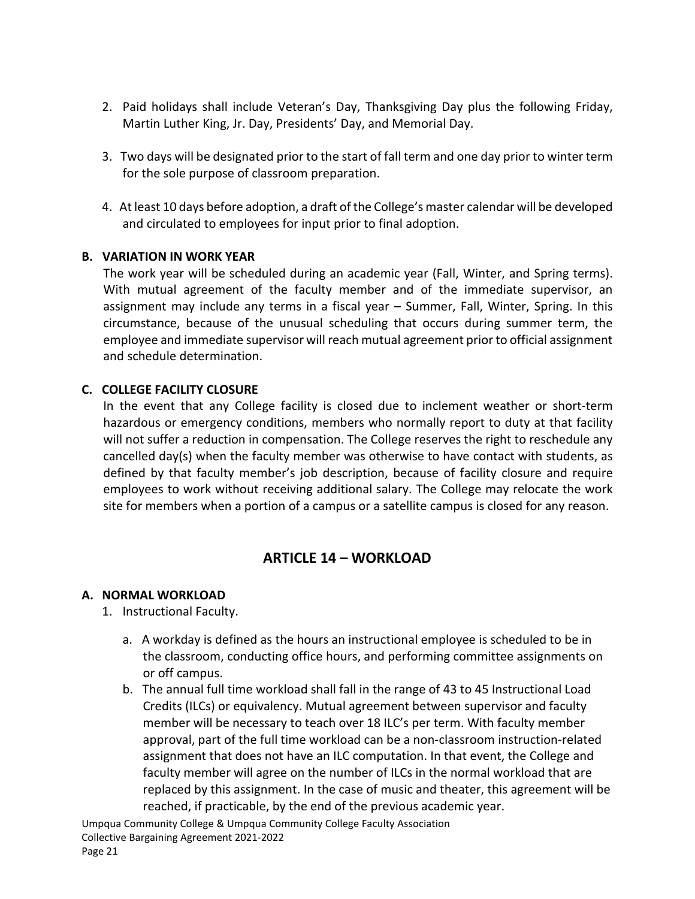- 2. Paid holidays shall include Veteran's Day, Thanksgiving Day plus the following Friday, Martin Luther King, Jr. Day, Presidents' Day, and Memorial Day.
- 3. Two days will be designated prior to the start of fall term and one day prior to winter term for the sole purpose of classroom preparation.
- 4. At least 10 days before adoption, a draft of the College's master calendar will be developed and circulated to employees for input prior to final adoption.

#### <span id="page-27-0"></span>**B. VARIATION IN WORK YEAR**

The work year will be scheduled during an academic year (Fall, Winter, and Spring terms). With mutual agreement of the faculty member and of the immediate supervisor, an assignment may include any terms in a fiscal year – Summer, Fall, Winter, Spring. In this circumstance, because of the unusual scheduling that occurs during summer term, the employee and immediate supervisor will reach mutual agreement prior to official assignment and schedule determination.

#### <span id="page-27-1"></span>**C. COLLEGE FACILITY CLOSURE**

In the event that any College facility is closed due to inclement weather or short-term hazardous or emergency conditions, members who normally report to duty at that facility will not suffer a reduction in compensation. The College reserves the right to reschedule any cancelled day(s) when the faculty member was otherwise to have contact with students, as defined by that faculty member's job description, because of facility closure and require employees to work without receiving additional salary. The College may relocate the work site for members when a portion of a campus or a satellite campus is closed for any reason.

# **ARTICLE 14 – WORKLOAD**

#### <span id="page-27-3"></span><span id="page-27-2"></span>**A. NORMAL WORKLOAD**

- 1. Instructional Faculty.
	- a. A workday is defined as the hours an instructional employee is scheduled to be in the classroom, conducting office hours, and performing committee assignments on or off campus.
	- b. The annual full time workload shall fall in the range of 43 to 45 Instructional Load Credits (ILCs) or equivalency. Mutual agreement between supervisor and faculty member will be necessary to teach over 18 ILC's per term. With faculty member approval, part of the full time workload can be a non-classroom instruction-related assignment that does not have an ILC computation. In that event, the College and faculty member will agree on the number of ILCs in the normal workload that are replaced by this assignment. In the case of music and theater, this agreement will be reached, if practicable, by the end of the previous academic year.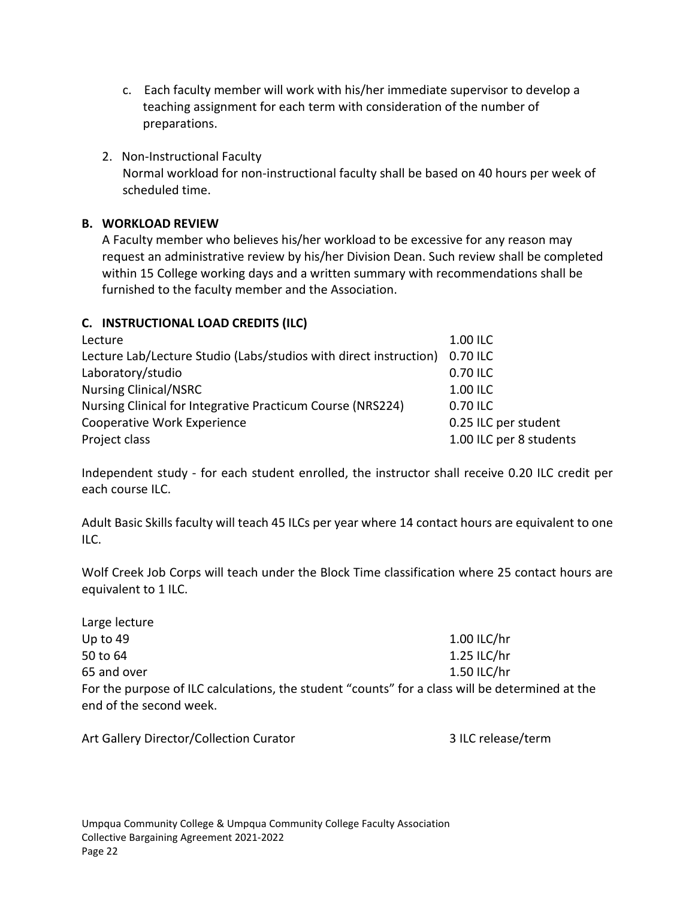- c. Each faculty member will work with his/her immediate supervisor to develop a teaching assignment for each term with consideration of the number of preparations.
- 2. Non-Instructional Faculty Normal workload for non-instructional faculty shall be based on 40 hours per week of scheduled time.

## <span id="page-28-0"></span>**B. WORKLOAD REVIEW**

A Faculty member who believes his/her workload to be excessive for any reason may request an administrative review by his/her Division Dean. Such review shall be completed within 15 College working days and a written summary with recommendations shall be furnished to the faculty member and the Association.

## <span id="page-28-1"></span>**C. INSTRUCTIONAL LOAD CREDITS (ILC)**

| Lecture                                                           | 1.00 ILC                |
|-------------------------------------------------------------------|-------------------------|
| Lecture Lab/Lecture Studio (Labs/studios with direct instruction) | 0.70 ILC                |
| Laboratory/studio                                                 | 0.70 ILC                |
| <b>Nursing Clinical/NSRC</b>                                      | 1.00 ILC                |
| Nursing Clinical for Integrative Practicum Course (NRS224)        | 0.70 ILC                |
| Cooperative Work Experience                                       | 0.25 ILC per student    |
| Project class                                                     | 1.00 ILC per 8 students |

Independent study - for each student enrolled, the instructor shall receive 0.20 ILC credit per each course ILC.

Adult Basic Skills faculty will teach 45 ILCs per year where 14 contact hours are equivalent to one ILC.

Wolf Creek Job Corps will teach under the Block Time classification where 25 contact hours are equivalent to 1 ILC.

| Large lecture                                                                                   |             |
|-------------------------------------------------------------------------------------------------|-------------|
| Up to 49                                                                                        | 1.00 ILC/hr |
| 50 to 64                                                                                        | 1.25 ILC/hr |
| 65 and over                                                                                     | 1.50 ILC/hr |
| For the purpose of ILC calculations, the student "counts" for a class will be determined at the |             |
| end of the second week.                                                                         |             |

3 ILC release/term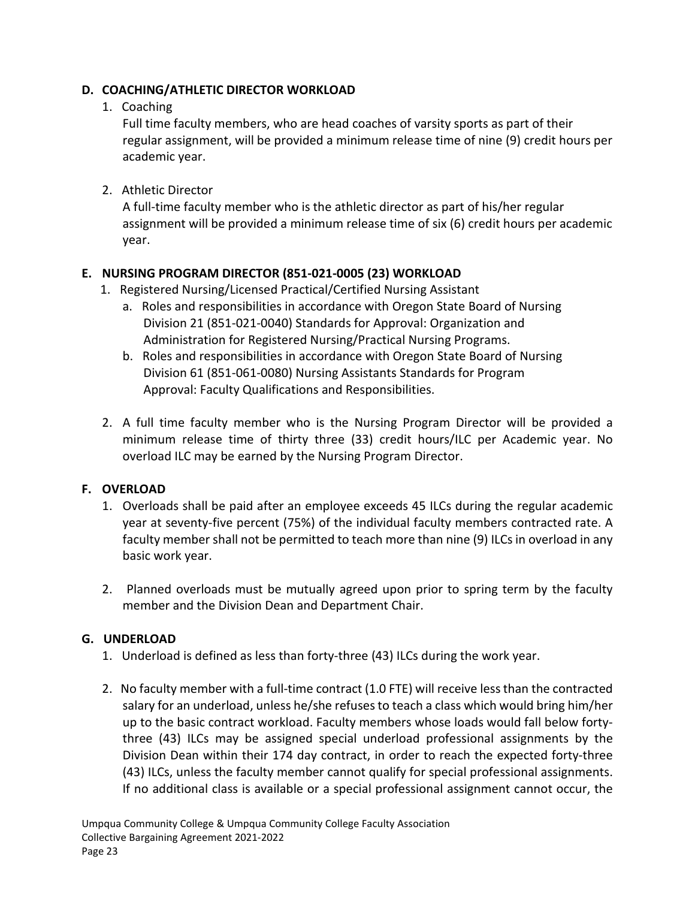## <span id="page-29-0"></span>**D. COACHING/ATHLETIC DIRECTOR WORKLOAD**

## 1. Coaching

Full time faculty members, who are head coaches of varsity sports as part of their regular assignment, will be provided a minimum release time of nine (9) credit hours per academic year.

2. Athletic Director

A full-time faculty member who is the athletic director as part of his/her regular assignment will be provided a minimum release time of six (6) credit hours per academic year.

# <span id="page-29-1"></span>**E. NURSING PROGRAM DIRECTOR (851-021-0005 (23) WORKLOAD**

- 1. Registered Nursing/Licensed Practical/Certified Nursing Assistant
	- a. Roles and responsibilities in accordance with Oregon State Board of Nursing Division 21 (851-021-0040) Standards for Approval: Organization and Administration for Registered Nursing/Practical Nursing Programs.
	- b. Roles and responsibilities in accordance with Oregon State Board of Nursing Division 61 (851-061-0080) Nursing Assistants Standards for Program Approval: Faculty Qualifications and Responsibilities.
- 2. A full time faculty member who is the Nursing Program Director will be provided a minimum release time of thirty three (33) credit hours/ILC per Academic year. No overload ILC may be earned by the Nursing Program Director.

# <span id="page-29-2"></span>**F. OVERLOAD**

- 1. Overloads shall be paid after an employee exceeds 45 ILCs during the regular academic year at seventy-five percent (75%) of the individual faculty members contracted rate. A faculty member shall not be permitted to teach more than nine (9) ILCs in overload in any basic work year.
- 2. Planned overloads must be mutually agreed upon prior to spring term by the faculty member and the Division Dean and Department Chair.

#### <span id="page-29-3"></span>**G. UNDERLOAD**

- 1. Underload is defined as less than forty-three (43) ILCs during the work year.
- 2. No faculty member with a full-time contract (1.0 FTE) will receive less than the contracted salary for an underload, unless he/she refuses to teach a class which would bring him/her up to the basic contract workload. Faculty members whose loads would fall below fortythree (43) ILCs may be assigned special underload professional assignments by the Division Dean within their 174 day contract, in order to reach the expected forty-three (43) ILCs, unless the faculty member cannot qualify for special professional assignments. If no additional class is available or a special professional assignment cannot occur, the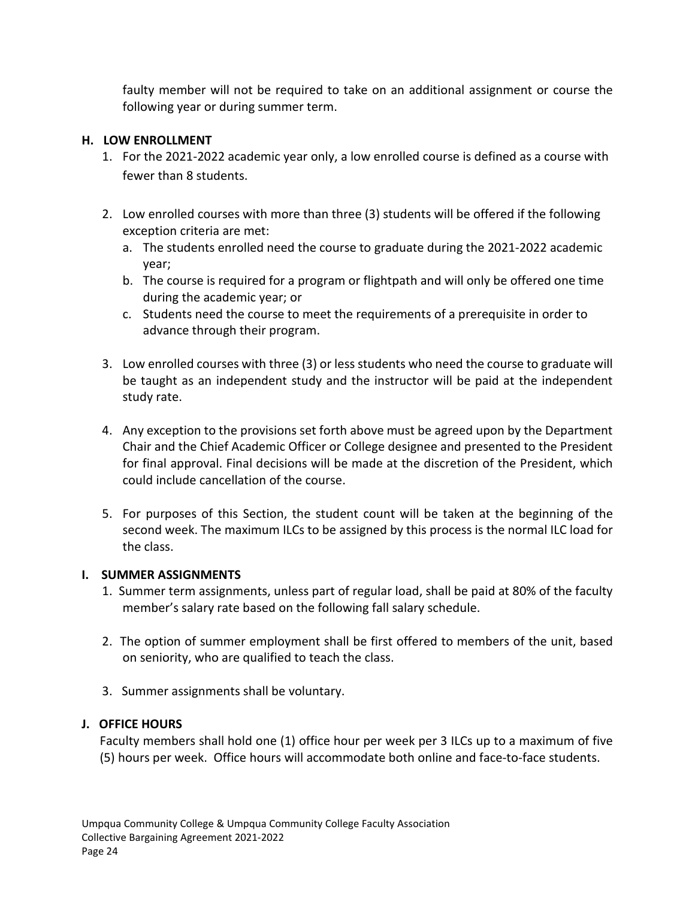faulty member will not be required to take on an additional assignment or course the following year or during summer term.

## <span id="page-30-0"></span>**H. LOW ENROLLMENT**

- 1. For the 2021-2022 academic year only, a low enrolled course is defined as a course with fewer than 8 students.
- 2. Low enrolled courses with more than three (3) students will be offered if the following exception criteria are met:
	- a. The students enrolled need the course to graduate during the 2021-2022 academic year;
	- b. The course is required for a program or flightpath and will only be offered one time during the academic year; or
	- c. Students need the course to meet the requirements of a prerequisite in order to advance through their program.
- 3. Low enrolled courses with three (3) or less students who need the course to graduate will be taught as an independent study and the instructor will be paid at the independent study rate.
- 4. Any exception to the provisions set forth above must be agreed upon by the Department Chair and the Chief Academic Officer or College designee and presented to the President for final approval. Final decisions will be made at the discretion of the President, which could include cancellation of the course.
- 5. For purposes of this Section, the student count will be taken at the beginning of the second week. The maximum ILCs to be assigned by this process is the normal ILC load for the class.

#### <span id="page-30-1"></span>**I. SUMMER ASSIGNMENTS**

- 1. Summer term assignments, unless part of regular load, shall be paid at 80% of the faculty member's salary rate based on the following fall salary schedule.
- 2. The option of summer employment shall be first offered to members of the unit, based on seniority, who are qualified to teach the class.
- 3. Summer assignments shall be voluntary.

# <span id="page-30-2"></span>**J. OFFICE HOURS**

Faculty members shall hold one (1) office hour per week per 3 ILCs up to a maximum of five (5) hours per week. Office hours will accommodate both online and face-to-face students.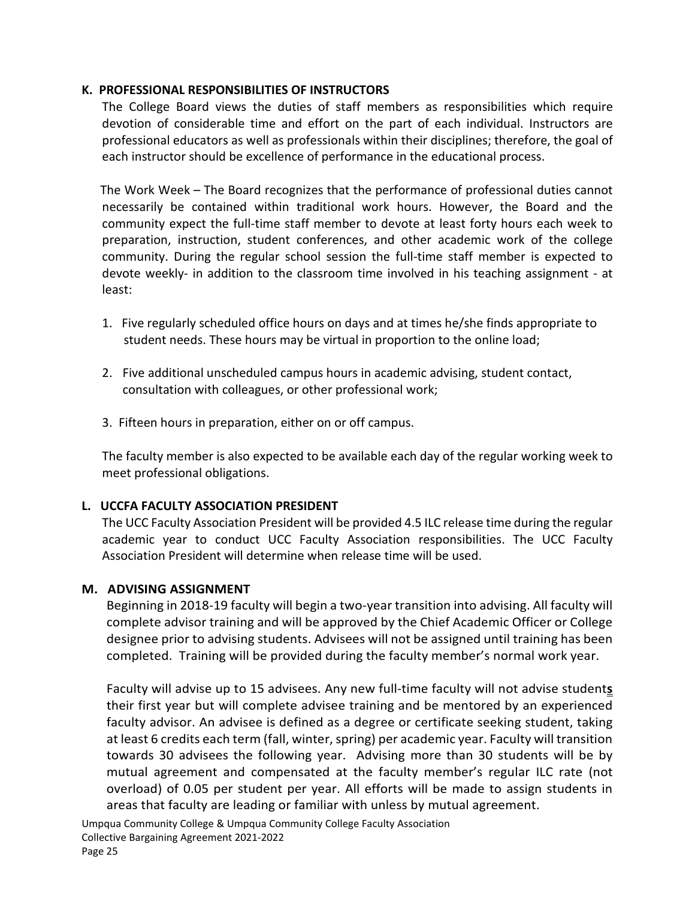#### <span id="page-31-0"></span>**K. PROFESSIONAL RESPONSIBILITIES OF INSTRUCTORS**

The College Board views the duties of staff members as responsibilities which require devotion of considerable time and effort on the part of each individual. Instructors are professional educators as well as professionals within their disciplines; therefore, the goal of each instructor should be excellence of performance in the educational process.

The Work Week – The Board recognizes that the performance of professional duties cannot necessarily be contained within traditional work hours. However, the Board and the community expect the full-time staff member to devote at least forty hours each week to preparation, instruction, student conferences, and other academic work of the college community. During the regular school session the full-time staff member is expected to devote weekly- in addition to the classroom time involved in his teaching assignment - at least:

- 1. Five regularly scheduled office hours on days and at times he/she finds appropriate to student needs. These hours may be virtual in proportion to the online load;
- 2. Five additional unscheduled campus hours in academic advising, student contact, consultation with colleagues, or other professional work;
- 3. Fifteen hours in preparation, either on or off campus.

The faculty member is also expected to be available each day of the regular working week to meet professional obligations.

#### <span id="page-31-1"></span>**L. UCCFA FACULTY ASSOCIATION PRESIDENT**

The UCC Faculty Association President will be provided 4.5 ILC release time during the regular academic year to conduct UCC Faculty Association responsibilities. The UCC Faculty Association President will determine when release time will be used.

#### <span id="page-31-2"></span>**M. ADVISING ASSIGNMENT**

Beginning in 2018-19 faculty will begin a two-year transition into advising. All faculty will complete advisor training and will be approved by the Chief Academic Officer or College designee prior to advising students. Advisees will not be assigned until training has been completed. Training will be provided during the faculty member's normal work year.

Faculty will advise up to 15 advisees. Any new full-time faculty will not advise student**s** their first year but will complete advisee training and be mentored by an experienced faculty advisor. An advisee is defined as a degree or certificate seeking student, taking at least 6 credits each term (fall, winter, spring) per academic year. Faculty will transition towards 30 advisees the following year. Advising more than 30 students will be by mutual agreement and compensated at the faculty member's regular ILC rate (not overload) of 0.05 per student per year. All efforts will be made to assign students in areas that faculty are leading or familiar with unless by mutual agreement.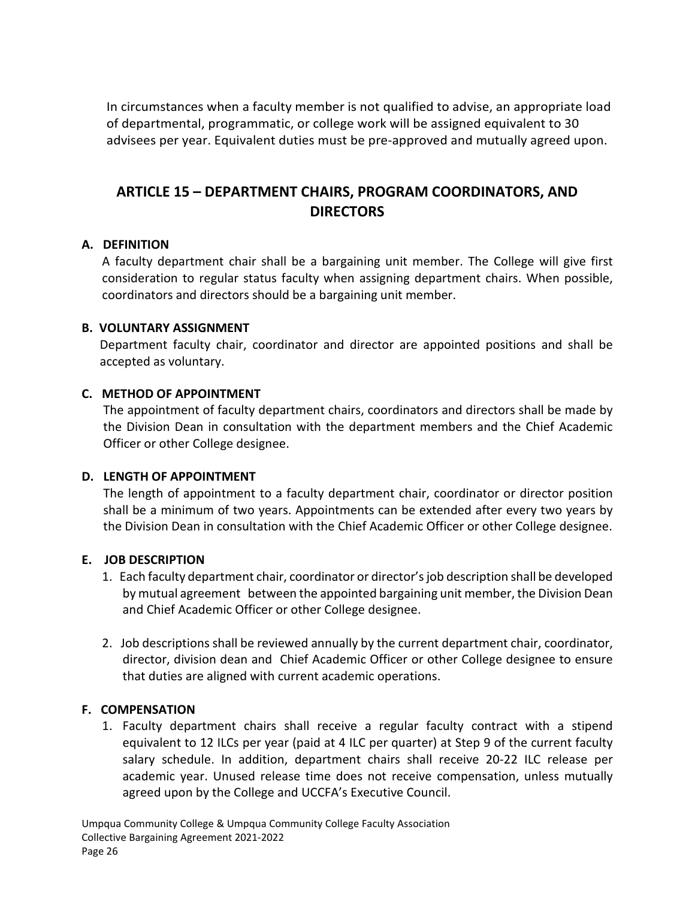In circumstances when a faculty member is not qualified to advise, an appropriate load of departmental, programmatic, or college work will be assigned equivalent to 30 advisees per year. Equivalent duties must be pre-approved and mutually agreed upon.

# <span id="page-32-0"></span>**ARTICLE 15 – DEPARTMENT CHAIRS, PROGRAM COORDINATORS, AND DIRECTORS**

#### <span id="page-32-1"></span>**A. DEFINITION**

A faculty department chair shall be a bargaining unit member. The College will give first consideration to regular status faculty when assigning department chairs. When possible, coordinators and directors should be a bargaining unit member.

#### <span id="page-32-2"></span>**B. VOLUNTARY ASSIGNMENT**

Department faculty chair, coordinator and director are appointed positions and shall be accepted as voluntary.

#### <span id="page-32-3"></span>**C. METHOD OF APPOINTMENT**

The appointment of faculty department chairs, coordinators and directors shall be made by the Division Dean in consultation with the department members and the Chief Academic Officer or other College designee.

#### <span id="page-32-4"></span>**D. LENGTH OF APPOINTMENT**

The length of appointment to a faculty department chair, coordinator or director position shall be a minimum of two years. Appointments can be extended after every two years by the Division Dean in consultation with the Chief Academic Officer or other College designee.

#### <span id="page-32-5"></span>**E. JOB DESCRIPTION**

- 1. Each faculty department chair, coordinator or director's job description shall be developed by mutual agreement between the appointed bargaining unit member, the Division Dean and Chief Academic Officer or other College designee.
- 2. Job descriptions shall be reviewed annually by the current department chair, coordinator, director, division dean and Chief Academic Officer or other College designee to ensure that duties are aligned with current academic operations.

#### <span id="page-32-6"></span>**F. COMPENSATION**

1. Faculty department chairs shall receive a regular faculty contract with a stipend equivalent to 12 ILCs per year (paid at 4 ILC per quarter) at Step 9 of the current faculty salary schedule. In addition, department chairs shall receive 20-22 ILC release per academic year. Unused release time does not receive compensation, unless mutually agreed upon by the College and UCCFA's Executive Council.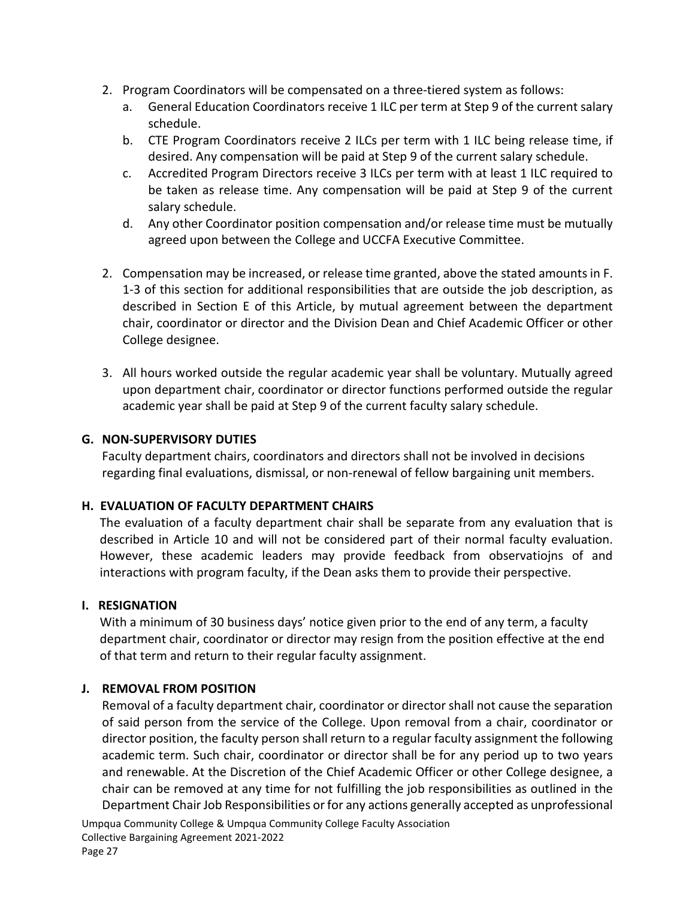- 2. Program Coordinators will be compensated on a three-tiered system as follows:
	- a. General Education Coordinators receive 1 ILC per term at Step 9 of the current salary schedule.
	- b. CTE Program Coordinators receive 2 ILCs per term with 1 ILC being release time, if desired. Any compensation will be paid at Step 9 of the current salary schedule.
	- c. Accredited Program Directors receive 3 ILCs per term with at least 1 ILC required to be taken as release time. Any compensation will be paid at Step 9 of the current salary schedule.
	- d. Any other Coordinator position compensation and/or release time must be mutually agreed upon between the College and UCCFA Executive Committee.
- 2. Compensation may be increased, or release time granted, above the stated amounts in F. 1-3 of this section for additional responsibilities that are outside the job description, as described in Section E of this Article, by mutual agreement between the department chair, coordinator or director and the Division Dean and Chief Academic Officer or other College designee.
- 3. All hours worked outside the regular academic year shall be voluntary. Mutually agreed upon department chair, coordinator or director functions performed outside the regular academic year shall be paid at Step 9 of the current faculty salary schedule.

#### <span id="page-33-0"></span>**G. NON-SUPERVISORY DUTIES**

Faculty department chairs, coordinators and directors shall not be involved in decisions regarding final evaluations, dismissal, or non-renewal of fellow bargaining unit members.

#### <span id="page-33-1"></span>**H. EVALUATION OF FACULTY DEPARTMENT CHAIRS**

The evaluation of a faculty department chair shall be separate from any evaluation that is described in Article 10 and will not be considered part of their normal faculty evaluation. However, these academic leaders may provide feedback from observatiojns of and interactions with program faculty, if the Dean asks them to provide their perspective.

#### <span id="page-33-2"></span>**I. RESIGNATION**

With a minimum of 30 business days' notice given prior to the end of any term, a faculty department chair, coordinator or director may resign from the position effective at the end of that term and return to their regular faculty assignment.

#### <span id="page-33-3"></span>**J. REMOVAL FROM POSITION**

Removal of a faculty department chair, coordinator or director shall not cause the separation of said person from the service of the College. Upon removal from a chair, coordinator or director position, the faculty person shall return to a regular faculty assignment the following academic term. Such chair, coordinator or director shall be for any period up to two years and renewable. At the Discretion of the Chief Academic Officer or other College designee, a chair can be removed at any time for not fulfilling the job responsibilities as outlined in the Department Chair Job Responsibilities or for any actions generally accepted as unprofessional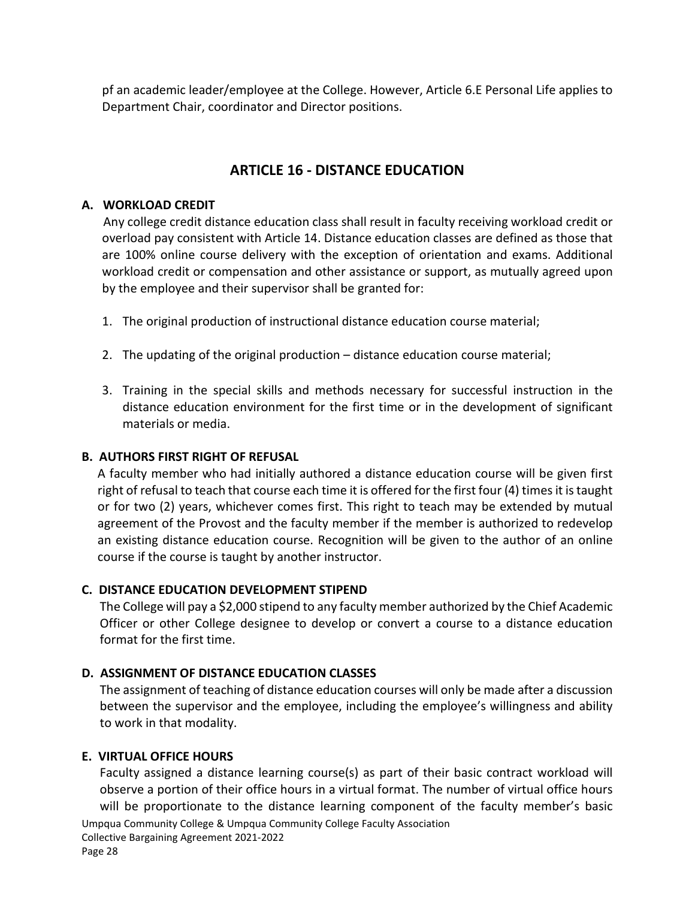pf an academic leader/employee at the College. However, Article 6.E Personal Life applies to Department Chair, coordinator and Director positions.

# **ARTICLE 16 - DISTANCE EDUCATION**

#### <span id="page-34-1"></span><span id="page-34-0"></span>**A. WORKLOAD CREDIT**

Any college credit distance education class shall result in faculty receiving workload credit or overload pay consistent with Article 14. Distance education classes are defined as those that are 100% online course delivery with the exception of orientation and exams. Additional workload credit or compensation and other assistance or support, as mutually agreed upon by the employee and their supervisor shall be granted for:

- 1. The original production of instructional distance education course material;
- 2. The updating of the original production distance education course material;
- 3. Training in the special skills and methods necessary for successful instruction in the distance education environment for the first time or in the development of significant materials or media.

#### <span id="page-34-2"></span>**B. AUTHORS FIRST RIGHT OF REFUSAL**

A faculty member who had initially authored a distance education course will be given first right of refusal to teach that course each time it is offered for the first four (4) times it is taught or for two (2) years, whichever comes first. This right to teach may be extended by mutual agreement of the Provost and the faculty member if the member is authorized to redevelop an existing distance education course. Recognition will be given to the author of an online course if the course is taught by another instructor.

#### <span id="page-34-3"></span>**C. DISTANCE EDUCATION DEVELOPMENT STIPEND**

The College will pay a \$2,000 stipend to any faculty member authorized by the Chief Academic Officer or other College designee to develop or convert a course to a distance education format for the first time.

#### <span id="page-34-4"></span>**D. ASSIGNMENT OF DISTANCE EDUCATION CLASSES**

The assignment of teaching of distance education courses will only be made after a discussion between the supervisor and the employee, including the employee's willingness and ability to work in that modality.

#### <span id="page-34-5"></span>**E. VIRTUAL OFFICE HOURS**

Umpqua Community College & Umpqua Community College Faculty Association Collective Bargaining Agreement 2021-2022 Faculty assigned a distance learning course(s) as part of their basic contract workload will observe a portion of their office hours in a virtual format. The number of virtual office hours will be proportionate to the distance learning component of the faculty member's basic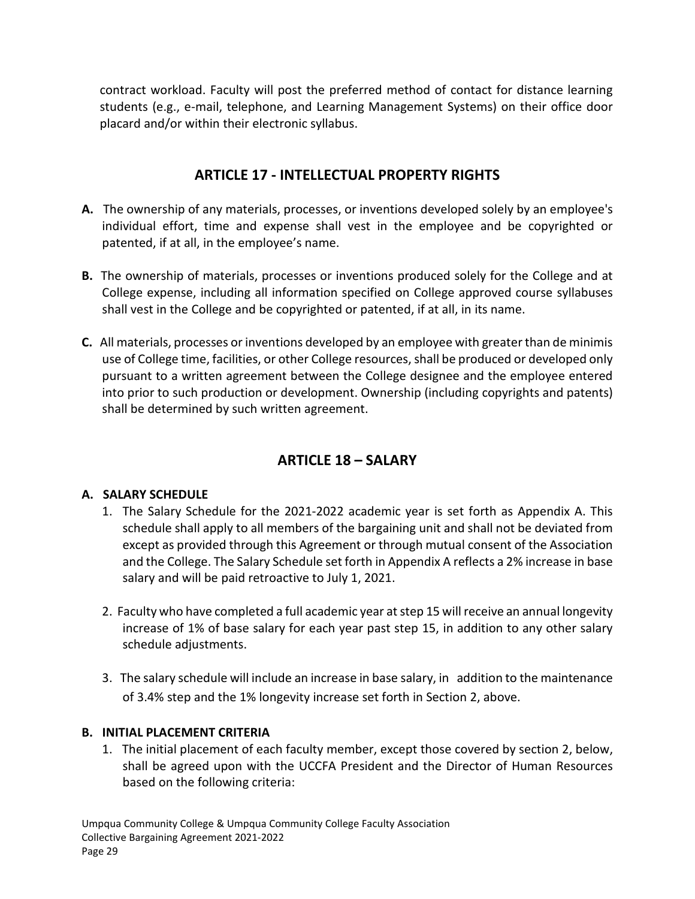contract workload. Faculty will post the preferred method of contact for distance learning students (e.g., e-mail, telephone, and Learning Management Systems) on their office door placard and/or within their electronic syllabus.

# **ARTICLE 17 - INTELLECTUAL PROPERTY RIGHTS**

- <span id="page-35-0"></span>**A.** The ownership of any materials, processes, or inventions developed solely by an employee's individual effort, time and expense shall vest in the employee and be copyrighted or patented, if at all, in the employee's name.
- **B.** The ownership of materials, processes or inventions produced solely for the College and at College expense, including all information specified on College approved course syllabuses shall vest in the College and be copyrighted or patented, if at all, in its name.
- **C.** All materials, processes or inventions developed by an employee with greater than de minimis use of College time, facilities, or other College resources, shall be produced or developed only pursuant to a written agreement between the College designee and the employee entered into prior to such production or development. Ownership (including copyrights and patents) shall be determined by such written agreement.

# **ARTICLE 18 – SALARY**

# <span id="page-35-2"></span><span id="page-35-1"></span>**A. SALARY SCHEDULE**

- 1. The Salary Schedule for the 2021-2022 academic year is set forth as Appendix A. This schedule shall apply to all members of the bargaining unit and shall not be deviated from except as provided through this Agreement or through mutual consent of the Association and the College. The Salary Schedule set forth in Appendix A reflects a 2% increase in base salary and will be paid retroactive to July 1, 2021.
- 2. Faculty who have completed a full academic year at step 15 will receive an annual longevity increase of 1% of base salary for each year past step 15, in addition to any other salary schedule adjustments.
- 3. The salary schedule will include an increase in base salary, in addition to the maintenance of 3.4% step and the 1% longevity increase set forth in Section 2, above.

# <span id="page-35-3"></span>**B. INITIAL PLACEMENT CRITERIA**

1. The initial placement of each faculty member, except those covered by section 2, below, shall be agreed upon with the UCCFA President and the Director of Human Resources based on the following criteria: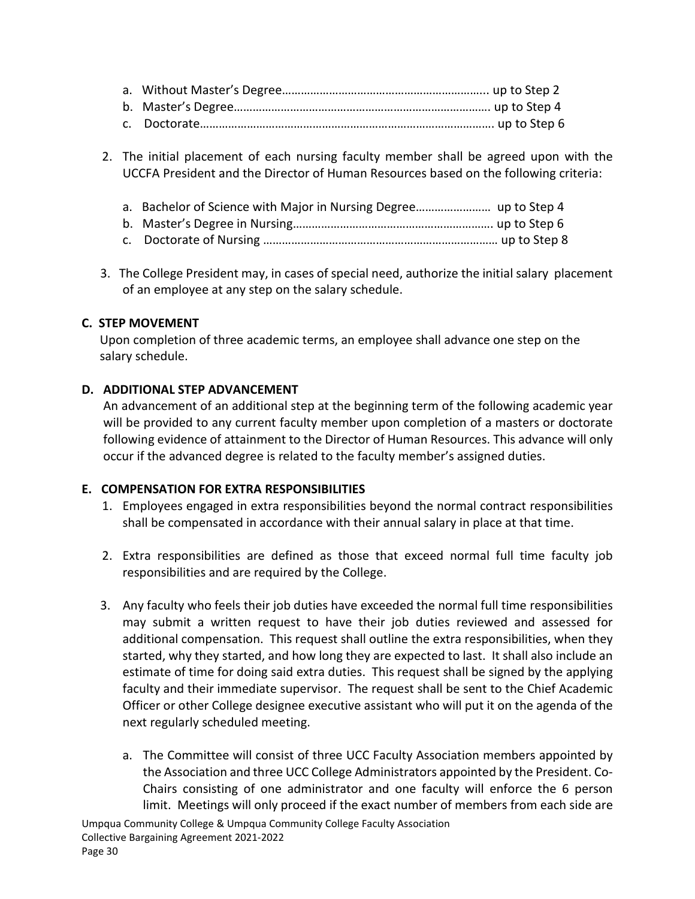2. The initial placement of each nursing faculty member shall be agreed upon with the UCCFA President and the Director of Human Resources based on the following criteria:

| a. Bachelor of Science with Major in Nursing Degree up to Step 4 |  |
|------------------------------------------------------------------|--|
|                                                                  |  |
|                                                                  |  |

 3. The College President may, in cases of special need, authorize the initial salary placement of an employee at any step on the salary schedule.

#### <span id="page-36-0"></span>**C. STEP MOVEMENT**

Upon completion of three academic terms, an employee shall advance one step on the salary schedule.

#### <span id="page-36-1"></span>**D. ADDITIONAL STEP ADVANCEMENT**

An advancement of an additional step at the beginning term of the following academic year will be provided to any current faculty member upon completion of a masters or doctorate following evidence of attainment to the Director of Human Resources. This advance will only occur if the advanced degree is related to the faculty member's assigned duties.

#### <span id="page-36-2"></span>**E. COMPENSATION FOR EXTRA RESPONSIBILITIES**

- 1. Employees engaged in extra responsibilities beyond the normal contract responsibilities shall be compensated in accordance with their annual salary in place at that time.
- 2. Extra responsibilities are defined as those that exceed normal full time faculty job responsibilities and are required by the College.
- 3. Any faculty who feels their job duties have exceeded the normal full time responsibilities may submit a written request to have their job duties reviewed and assessed for additional compensation. This request shall outline the extra responsibilities, when they started, why they started, and how long they are expected to last. It shall also include an estimate of time for doing said extra duties. This request shall be signed by the applying faculty and their immediate supervisor. The request shall be sent to the Chief Academic Officer or other College designee executive assistant who will put it on the agenda of the next regularly scheduled meeting.
	- a. The Committee will consist of three UCC Faculty Association members appointed by the Association and three UCC College Administrators appointed by the President. Co-Chairs consisting of one administrator and one faculty will enforce the 6 person limit. Meetings will only proceed if the exact number of members from each side are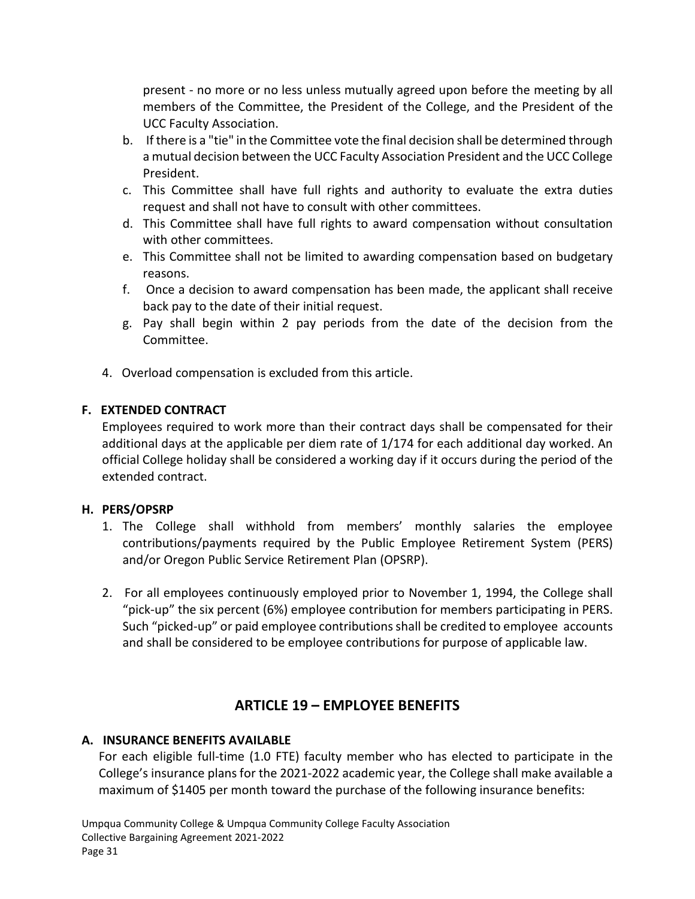present - no more or no less unless mutually agreed upon before the meeting by all members of the Committee, the President of the College, and the President of the UCC Faculty Association.

- b. If there is a "tie" in the Committee vote the final decision shall be determined through a mutual decision between the UCC Faculty Association President and the UCC College President.
- c. This Committee shall have full rights and authority to evaluate the extra duties request and shall not have to consult with other committees.
- d. This Committee shall have full rights to award compensation without consultation with other committees.
- e. This Committee shall not be limited to awarding compensation based on budgetary reasons.
- f. Once a decision to award compensation has been made, the applicant shall receive back pay to the date of their initial request.
- g. Pay shall begin within 2 pay periods from the date of the decision from the Committee.
- 4. Overload compensation is excluded from this article.

## <span id="page-37-0"></span>**F. EXTENDED CONTRACT**

Employees required to work more than their contract days shall be compensated for their additional days at the applicable per diem rate of 1/174 for each additional day worked. An official College holiday shall be considered a working day if it occurs during the period of the extended contract.

#### <span id="page-37-1"></span>**H. PERS/OPSRP**

- 1. The College shall withhold from members' monthly salaries the employee contributions/payments required by the Public Employee Retirement System (PERS) and/or Oregon Public Service Retirement Plan (OPSRP).
- 2. For all employees continuously employed prior to November 1, 1994, the College shall "pick-up" the six percent (6%) employee contribution for members participating in PERS. Such "picked-up" or paid employee contributions shall be credited to employee accounts and shall be considered to be employee contributions for purpose of applicable law.

# **ARTICLE 19 – EMPLOYEE BENEFITS**

#### <span id="page-37-3"></span><span id="page-37-2"></span>**A. INSURANCE BENEFITS AVAILABLE**

For each eligible full-time (1.0 FTE) faculty member who has elected to participate in the College's insurance plans for the 2021-2022 academic year, the College shall make available a maximum of \$1405 per month toward the purchase of the following insurance benefits: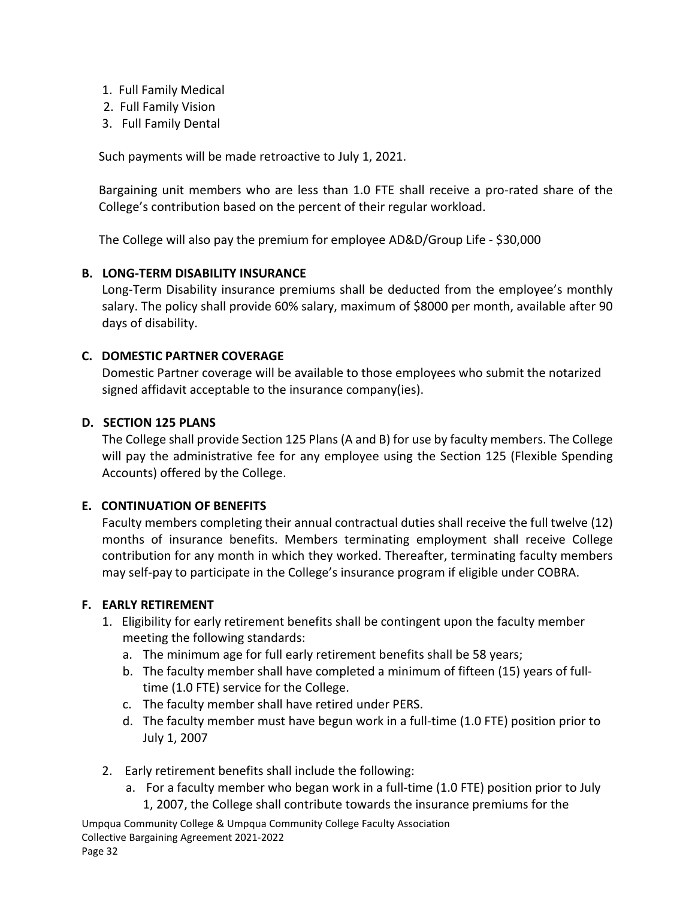- 1. Full Family Medical
- 2. Full Family Vision
- 3. Full Family Dental

Such payments will be made retroactive to July 1, 2021.

Bargaining unit members who are less than 1.0 FTE shall receive a pro-rated share of the College's contribution based on the percent of their regular workload.

The College will also pay the premium for employee AD&D/Group Life - \$30,000

## <span id="page-38-0"></span>**B. LONG-TERM DISABILITY INSURANCE**

Long-Term Disability insurance premiums shall be deducted from the employee's monthly salary. The policy shall provide 60% salary, maximum of \$8000 per month, available after 90 days of disability.

## <span id="page-38-1"></span>**C. DOMESTIC PARTNER COVERAGE**

Domestic Partner coverage will be available to those employees who submit the notarized signed affidavit acceptable to the insurance company(ies).

#### <span id="page-38-2"></span>**D. SECTION 125 PLANS**

The College shall provide Section 125 Plans (A and B) for use by faculty members. The College will pay the administrative fee for any employee using the Section 125 (Flexible Spending Accounts) offered by the College.

#### <span id="page-38-3"></span>**E. CONTINUATION OF BENEFITS**

Faculty members completing their annual contractual duties shall receive the full twelve (12) months of insurance benefits. Members terminating employment shall receive College contribution for any month in which they worked. Thereafter, terminating faculty members may self-pay to participate in the College's insurance program if eligible under COBRA.

#### <span id="page-38-4"></span>**F. EARLY RETIREMENT**

- 1. Eligibility for early retirement benefits shall be contingent upon the faculty member meeting the following standards:
	- a. The minimum age for full early retirement benefits shall be 58 years;
	- b. The faculty member shall have completed a minimum of fifteen (15) years of fulltime (1.0 FTE) service for the College.
	- c. The faculty member shall have retired under PERS.
	- d. The faculty member must have begun work in a full-time (1.0 FTE) position prior to July 1, 2007
- 2. Early retirement benefits shall include the following:
	- a. For a faculty member who began work in a full-time (1.0 FTE) position prior to July 1, 2007, the College shall contribute towards the insurance premiums for the

Umpqua Community College & Umpqua Community College Faculty Association Collective Bargaining Agreement 2021-2022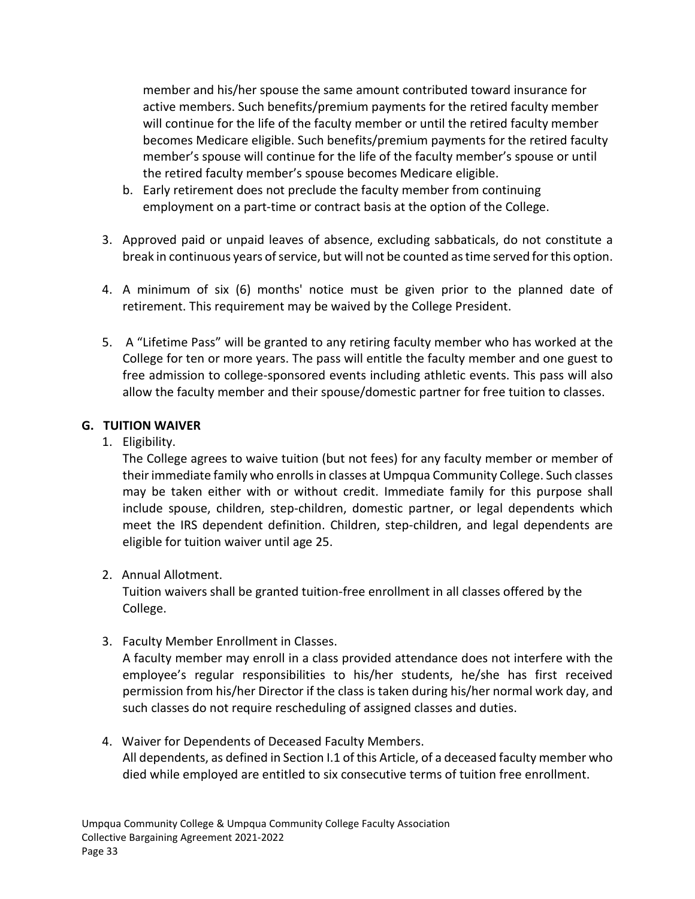member and his/her spouse the same amount contributed toward insurance for active members. Such benefits/premium payments for the retired faculty member will continue for the life of the faculty member or until the retired faculty member becomes Medicare eligible. Such benefits/premium payments for the retired faculty member's spouse will continue for the life of the faculty member's spouse or until the retired faculty member's spouse becomes Medicare eligible.

- b. Early retirement does not preclude the faculty member from continuing employment on a part-time or contract basis at the option of the College.
- 3. Approved paid or unpaid leaves of absence, excluding sabbaticals, do not constitute a break in continuous years of service, but will not be counted as time served for this option.
- 4. A minimum of six (6) months' notice must be given prior to the planned date of retirement. This requirement may be waived by the College President.
- 5. A "Lifetime Pass" will be granted to any retiring faculty member who has worked at the College for ten or more years. The pass will entitle the faculty member and one guest to free admission to college-sponsored events including athletic events. This pass will also allow the faculty member and their spouse/domestic partner for free tuition to classes.

## <span id="page-39-0"></span>**G. TUITION WAIVER**

1. Eligibility.

The College agrees to waive tuition (but not fees) for any faculty member or member of their immediate family who enrolls in classes at Umpqua Community College. Such classes may be taken either with or without credit. Immediate family for this purpose shall include spouse, children, step-children, domestic partner, or legal dependents which meet the IRS dependent definition. Children, step-children, and legal dependents are eligible for tuition waiver until age 25.

2. Annual Allotment.

Tuition waivers shall be granted tuition-free enrollment in all classes offered by the College.

3. Faculty Member Enrollment in Classes.

A faculty member may enroll in a class provided attendance does not interfere with the employee's regular responsibilities to his/her students, he/she has first received permission from his/her Director if the class is taken during his/her normal work day, and such classes do not require rescheduling of assigned classes and duties.

4. Waiver for Dependents of Deceased Faculty Members. All dependents, as defined in Section I.1 of this Article, of a deceased faculty member who died while employed are entitled to six consecutive terms of tuition free enrollment.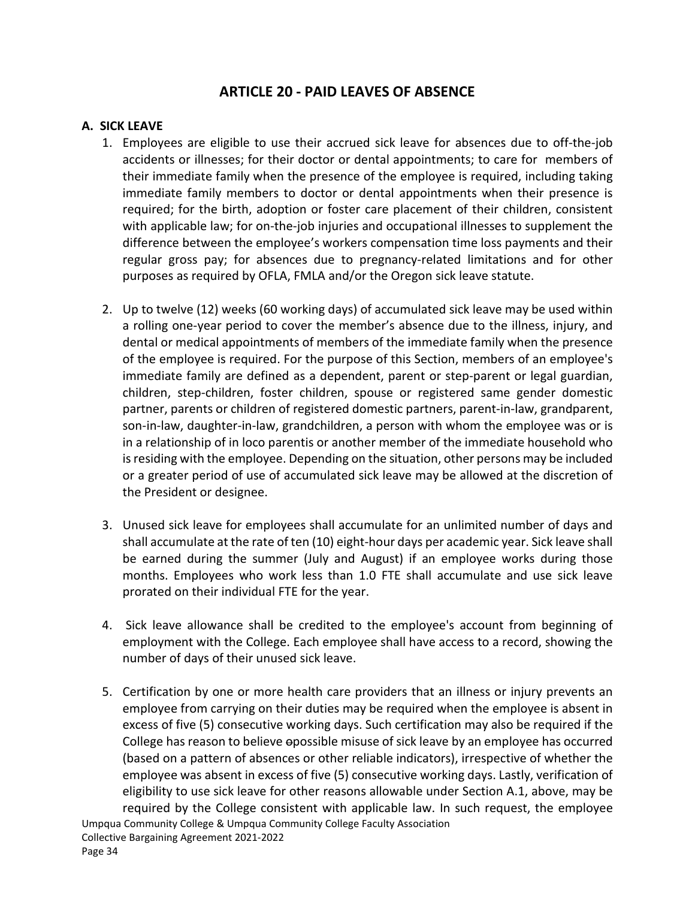# **ARTICLE 20 - PAID LEAVES OF ABSENCE**

#### <span id="page-40-1"></span><span id="page-40-0"></span>**A. SICK LEAVE**

- 1. Employees are eligible to use their accrued sick leave for absences due to off-the-job accidents or illnesses; for their doctor or dental appointments; to care for members of their immediate family when the presence of the employee is required, including taking immediate family members to doctor or dental appointments when their presence is required; for the birth, adoption or foster care placement of their children, consistent with applicable law; for on-the-job injuries and occupational illnesses to supplement the difference between the employee's workers compensation time loss payments and their regular gross pay; for absences due to pregnancy-related limitations and for other purposes as required by OFLA, FMLA and/or the Oregon sick leave statute.
- 2. Up to twelve (12) weeks (60 working days) of accumulated sick leave may be used within a rolling one-year period to cover the member's absence due to the illness, injury, and dental or medical appointments of members of the immediate family when the presence of the employee is required. For the purpose of this Section, members of an employee's immediate family are defined as a dependent, parent or step-parent or legal guardian, children, step-children, foster children, spouse or registered same gender domestic partner, parents or children of registered domestic partners, parent-in-law, grandparent, son-in-law, daughter-in-law, grandchildren, a person with whom the employee was or is in a relationship of in loco parentis or another member of the immediate household who is residing with the employee. Depending on the situation, other persons may be included or a greater period of use of accumulated sick leave may be allowed at the discretion of the President or designee.
- 3. Unused sick leave for employees shall accumulate for an unlimited number of days and shall accumulate at the rate of ten (10) eight-hour days per academic year. Sick leave shall be earned during the summer (July and August) if an employee works during those months. Employees who work less than 1.0 FTE shall accumulate and use sick leave prorated on their individual FTE for the year.
- 4. Sick leave allowance shall be credited to the employee's account from beginning of employment with the College. Each employee shall have access to a record, showing the number of days of their unused sick leave.
- 5. Certification by one or more health care providers that an illness or injury prevents an employee from carrying on their duties may be required when the employee is absent in excess of five (5) consecutive working days. Such certification may also be required if the College has reason to believe opossible misuse of sick leave by an employee has occurred (based on a pattern of absences or other reliable indicators), irrespective of whether the employee was absent in excess of five (5) consecutive working days. Lastly, verification of eligibility to use sick leave for other reasons allowable under Section A.1, above, may be required by the College consistent with applicable law. In such request, the employee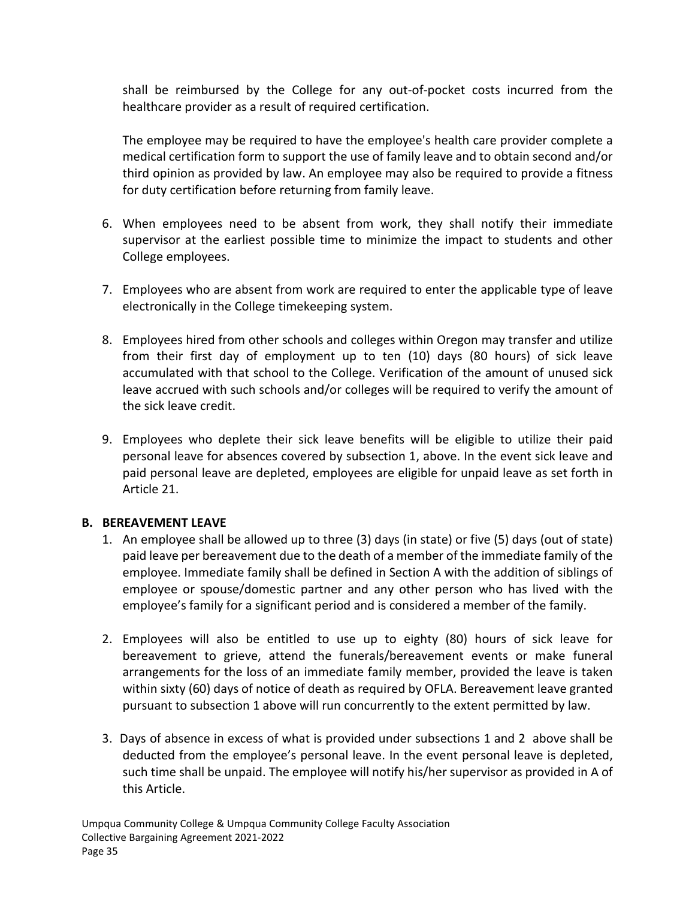shall be reimbursed by the College for any out-of-pocket costs incurred from the healthcare provider as a result of required certification.

The employee may be required to have the employee's health care provider complete a medical certification form to support the use of family leave and to obtain second and/or third opinion as provided by law. An employee may also be required to provide a fitness for duty certification before returning from family leave.

- 6. When employees need to be absent from work, they shall notify their immediate supervisor at the earliest possible time to minimize the impact to students and other College employees.
- 7. Employees who are absent from work are required to enter the applicable type of leave electronically in the College timekeeping system.
- 8. Employees hired from other schools and colleges within Oregon may transfer and utilize from their first day of employment up to ten (10) days (80 hours) of sick leave accumulated with that school to the College. Verification of the amount of unused sick leave accrued with such schools and/or colleges will be required to verify the amount of the sick leave credit.
- 9. Employees who deplete their sick leave benefits will be eligible to utilize their paid personal leave for absences covered by subsection 1, above. In the event sick leave and paid personal leave are depleted, employees are eligible for unpaid leave as set forth in Article 21.

#### <span id="page-41-0"></span>**B. BEREAVEMENT LEAVE**

- 1. An employee shall be allowed up to three (3) days (in state) or five (5) days (out of state) paid leave per bereavement due to the death of a member of the immediate family of the employee. Immediate family shall be defined in Section A with the addition of siblings of employee or spouse/domestic partner and any other person who has lived with the employee's family for a significant period and is considered a member of the family.
- 2. Employees will also be entitled to use up to eighty (80) hours of sick leave for bereavement to grieve, attend the funerals/bereavement events or make funeral arrangements for the loss of an immediate family member, provided the leave is taken within sixty (60) days of notice of death as required by OFLA. Bereavement leave granted pursuant to subsection 1 above will run concurrently to the extent permitted by law.
- 3. Days of absence in excess of what is provided under subsections 1 and 2 above shall be deducted from the employee's personal leave. In the event personal leave is depleted, such time shall be unpaid. The employee will notify his/her supervisor as provided in A of this Article.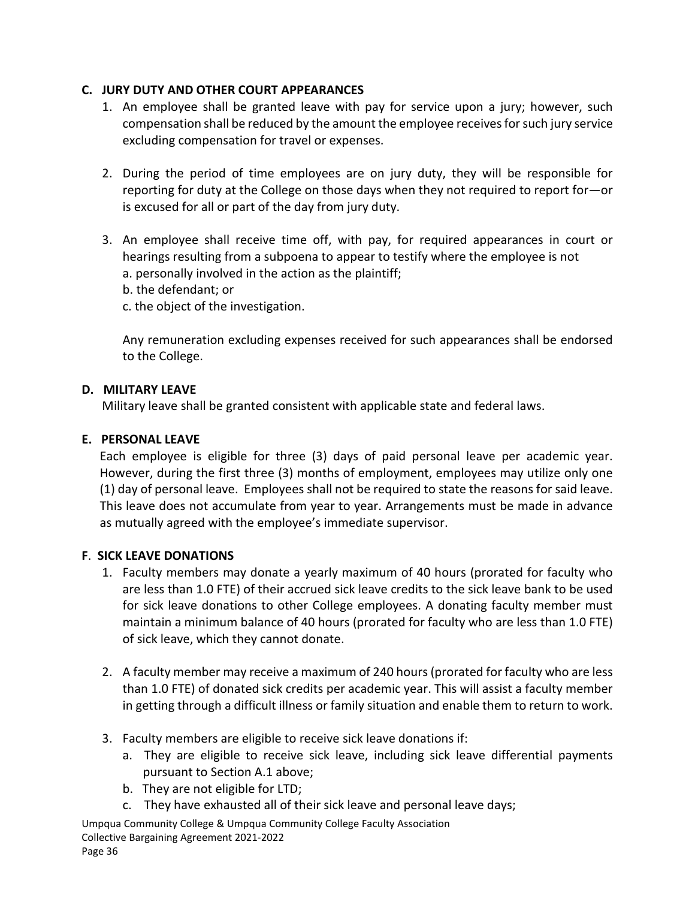### <span id="page-42-0"></span>**C. JURY DUTY AND OTHER COURT APPEARANCES**

- 1. An employee shall be granted leave with pay for service upon a jury; however, such compensation shall be reduced by the amount the employee receives for such jury service excluding compensation for travel or expenses.
- 2. During the period of time employees are on jury duty, they will be responsible for reporting for duty at the College on those days when they not required to report for—or is excused for all or part of the day from jury duty.
- 3. An employee shall receive time off, with pay, for required appearances in court or hearings resulting from a subpoena to appear to testify where the employee is not a. personally involved in the action as the plaintiff;
	- b. the defendant; or
	- c. the object of the investigation.

Any remuneration excluding expenses received for such appearances shall be endorsed to the College.

#### <span id="page-42-1"></span>**D. MILITARY LEAVE**

Military leave shall be granted consistent with applicable state and federal laws.

## <span id="page-42-2"></span>**E. PERSONAL LEAVE**

Each employee is eligible for three (3) days of paid personal leave per academic year. However, during the first three (3) months of employment, employees may utilize only one (1) day of personal leave. Employees shall not be required to state the reasons for said leave. This leave does not accumulate from year to year. Arrangements must be made in advance as mutually agreed with the employee's immediate supervisor.

# <span id="page-42-3"></span>**F**. **SICK LEAVE DONATIONS**

- 1. Faculty members may donate a yearly maximum of 40 hours (prorated for faculty who are less than 1.0 FTE) of their accrued sick leave credits to the sick leave bank to be used for sick leave donations to other College employees. A donating faculty member must maintain a minimum balance of 40 hours (prorated for faculty who are less than 1.0 FTE) of sick leave, which they cannot donate.
- 2. A faculty member may receive a maximum of 240 hours (prorated for faculty who are less than 1.0 FTE) of donated sick credits per academic year. This will assist a faculty member in getting through a difficult illness or family situation and enable them to return to work.
- 3. Faculty members are eligible to receive sick leave donations if:
	- a. They are eligible to receive sick leave, including sick leave differential payments pursuant to Section A.1 above;
	- b. They are not eligible for LTD;
	- c. They have exhausted all of their sick leave and personal leave days;

Umpqua Community College & Umpqua Community College Faculty Association Collective Bargaining Agreement 2021-2022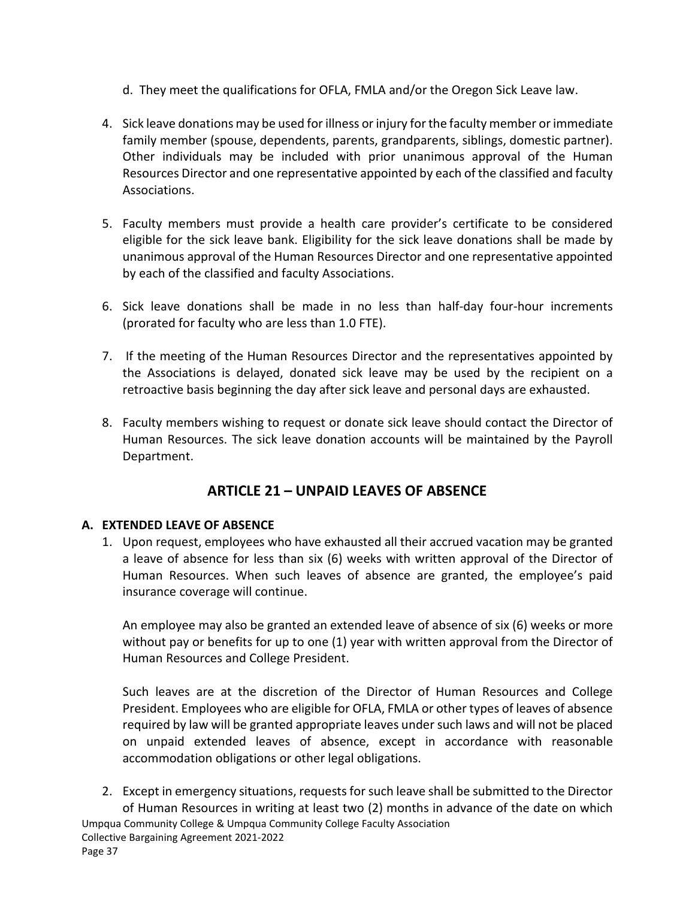- d. They meet the qualifications for OFLA, FMLA and/or the Oregon Sick Leave law.
- 4. Sick leave donations may be used for illness or injury for the faculty member or immediate family member (spouse, dependents, parents, grandparents, siblings, domestic partner). Other individuals may be included with prior unanimous approval of the Human Resources Director and one representative appointed by each of the classified and faculty Associations.
- 5. Faculty members must provide a health care provider's certificate to be considered eligible for the sick leave bank. Eligibility for the sick leave donations shall be made by unanimous approval of the Human Resources Director and one representative appointed by each of the classified and faculty Associations.
- 6. Sick leave donations shall be made in no less than half-day four-hour increments (prorated for faculty who are less than 1.0 FTE).
- 7. If the meeting of the Human Resources Director and the representatives appointed by the Associations is delayed, donated sick leave may be used by the recipient on a retroactive basis beginning the day after sick leave and personal days are exhausted.
- 8. Faculty members wishing to request or donate sick leave should contact the Director of Human Resources. The sick leave donation accounts will be maintained by the Payroll Department.

# **ARTICLE 21 – UNPAID LEAVES OF ABSENCE**

#### <span id="page-43-1"></span><span id="page-43-0"></span>**A. EXTENDED LEAVE OF ABSENCE**

1. Upon request, employees who have exhausted all their accrued vacation may be granted a leave of absence for less than six (6) weeks with written approval of the Director of Human Resources. When such leaves of absence are granted, the employee's paid insurance coverage will continue.

An employee may also be granted an extended leave of absence of six (6) weeks or more without pay or benefits for up to one (1) year with written approval from the Director of Human Resources and College President.

Such leaves are at the discretion of the Director of Human Resources and College President. Employees who are eligible for OFLA, FMLA or other types of leaves of absence required by law will be granted appropriate leaves under such laws and will not be placed on unpaid extended leaves of absence, except in accordance with reasonable accommodation obligations or other legal obligations.

Umpqua Community College & Umpqua Community College Faculty Association Collective Bargaining Agreement 2021-2022 2. Except in emergency situations, requests for such leave shall be submitted to the Director of Human Resources in writing at least two (2) months in advance of the date on which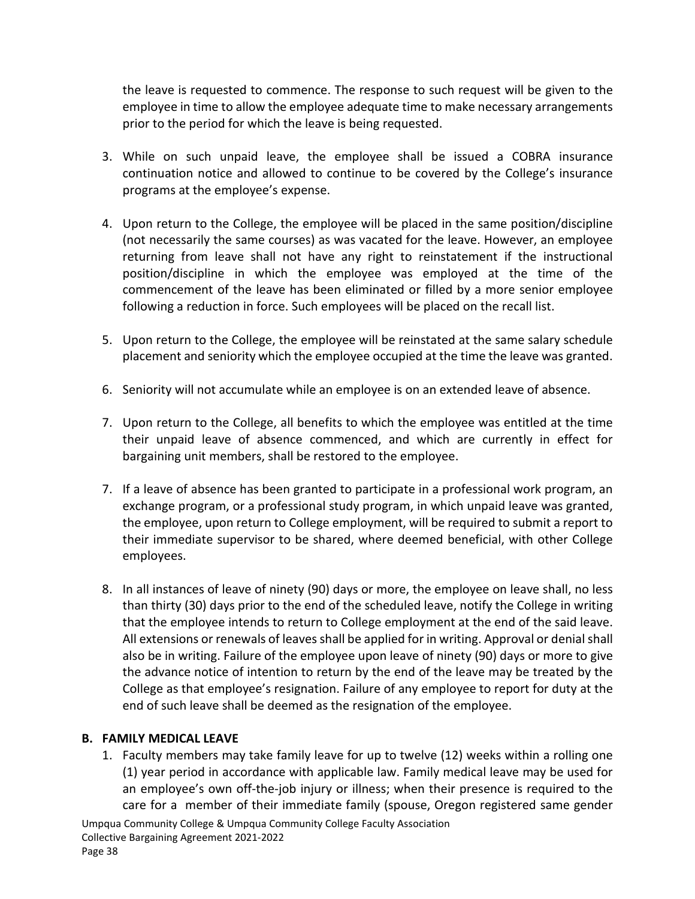the leave is requested to commence. The response to such request will be given to the employee in time to allow the employee adequate time to make necessary arrangements prior to the period for which the leave is being requested.

- 3. While on such unpaid leave, the employee shall be issued a COBRA insurance continuation notice and allowed to continue to be covered by the College's insurance programs at the employee's expense.
- 4. Upon return to the College, the employee will be placed in the same position/discipline (not necessarily the same courses) as was vacated for the leave. However, an employee returning from leave shall not have any right to reinstatement if the instructional position/discipline in which the employee was employed at the time of the commencement of the leave has been eliminated or filled by a more senior employee following a reduction in force. Such employees will be placed on the recall list.
- 5. Upon return to the College, the employee will be reinstated at the same salary schedule placement and seniority which the employee occupied at the time the leave was granted.
- 6. Seniority will not accumulate while an employee is on an extended leave of absence.
- 7. Upon return to the College, all benefits to which the employee was entitled at the time their unpaid leave of absence commenced, and which are currently in effect for bargaining unit members, shall be restored to the employee.
- 7. If a leave of absence has been granted to participate in a professional work program, an exchange program, or a professional study program, in which unpaid leave was granted, the employee, upon return to College employment, will be required to submit a report to their immediate supervisor to be shared, where deemed beneficial, with other College employees.
- 8. In all instances of leave of ninety (90) days or more, the employee on leave shall, no less than thirty (30) days prior to the end of the scheduled leave, notify the College in writing that the employee intends to return to College employment at the end of the said leave. All extensions or renewals of leaves shall be applied for in writing. Approval or denial shall also be in writing. Failure of the employee upon leave of ninety (90) days or more to give the advance notice of intention to return by the end of the leave may be treated by the College as that employee's resignation. Failure of any employee to report for duty at the end of such leave shall be deemed as the resignation of the employee.

#### <span id="page-44-0"></span>**B. FAMILY MEDICAL LEAVE**

1. Faculty members may take family leave for up to twelve (12) weeks within a rolling one (1) year period in accordance with applicable law. Family medical leave may be used for an employee's own off-the-job injury or illness; when their presence is required to the care for a member of their immediate family (spouse, Oregon registered same gender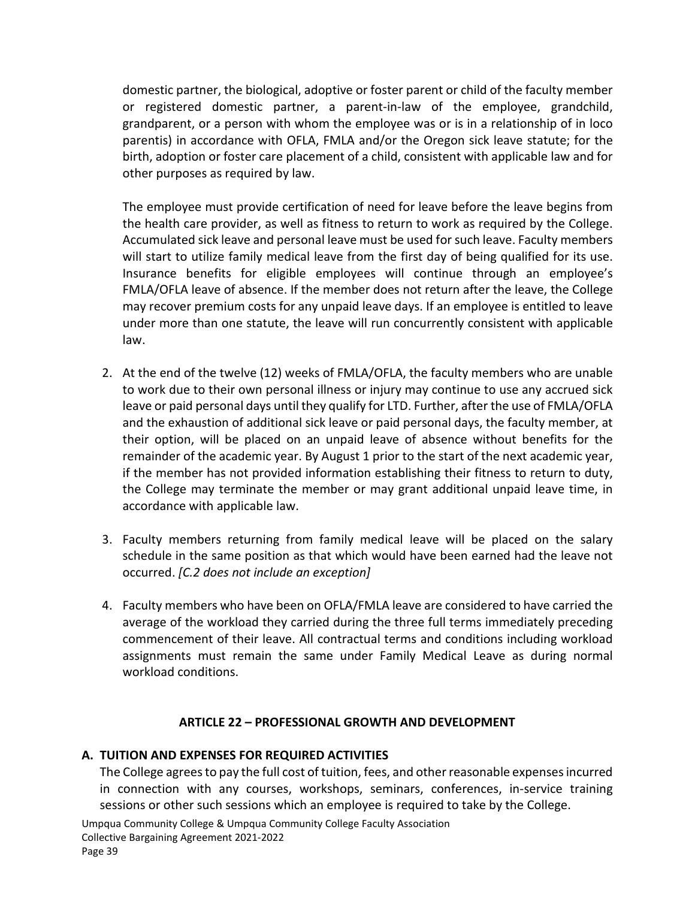domestic partner, the biological, adoptive or foster parent or child of the faculty member or registered domestic partner, a parent-in-law of the employee, grandchild, grandparent, or a person with whom the employee was or is in a relationship of in loco parentis) in accordance with OFLA, FMLA and/or the Oregon sick leave statute; for the birth, adoption or foster care placement of a child, consistent with applicable law and for other purposes as required by law.

The employee must provide certification of need for leave before the leave begins from the health care provider, as well as fitness to return to work as required by the College. Accumulated sick leave and personal leave must be used for such leave. Faculty members will start to utilize family medical leave from the first day of being qualified for its use. Insurance benefits for eligible employees will continue through an employee's FMLA/OFLA leave of absence. If the member does not return after the leave, the College may recover premium costs for any unpaid leave days. If an employee is entitled to leave under more than one statute, the leave will run concurrently consistent with applicable law.

- 2. At the end of the twelve (12) weeks of FMLA/OFLA, the faculty members who are unable to work due to their own personal illness or injury may continue to use any accrued sick leave or paid personal days until they qualify for LTD. Further, after the use of FMLA/OFLA and the exhaustion of additional sick leave or paid personal days, the faculty member, at their option, will be placed on an unpaid leave of absence without benefits for the remainder of the academic year. By August 1 prior to the start of the next academic year, if the member has not provided information establishing their fitness to return to duty, the College may terminate the member or may grant additional unpaid leave time, in accordance with applicable law.
- 3. Faculty members returning from family medical leave will be placed on the salary schedule in the same position as that which would have been earned had the leave not occurred. *[C.2 does not include an exception]*
- 4. Faculty members who have been on OFLA/FMLA leave are considered to have carried the average of the workload they carried during the three full terms immediately preceding commencement of their leave. All contractual terms and conditions including workload assignments must remain the same under Family Medical Leave as during normal workload conditions.

#### **ARTICLE 22 – PROFESSIONAL GROWTH AND DEVELOPMENT**

#### <span id="page-45-1"></span><span id="page-45-0"></span>**A. TUITION AND EXPENSES FOR REQUIRED ACTIVITIES**

The College agrees to pay the full cost of tuition, fees, and other reasonable expenses incurred in connection with any courses, workshops, seminars, conferences, in-service training sessions or other such sessions which an employee is required to take by the College.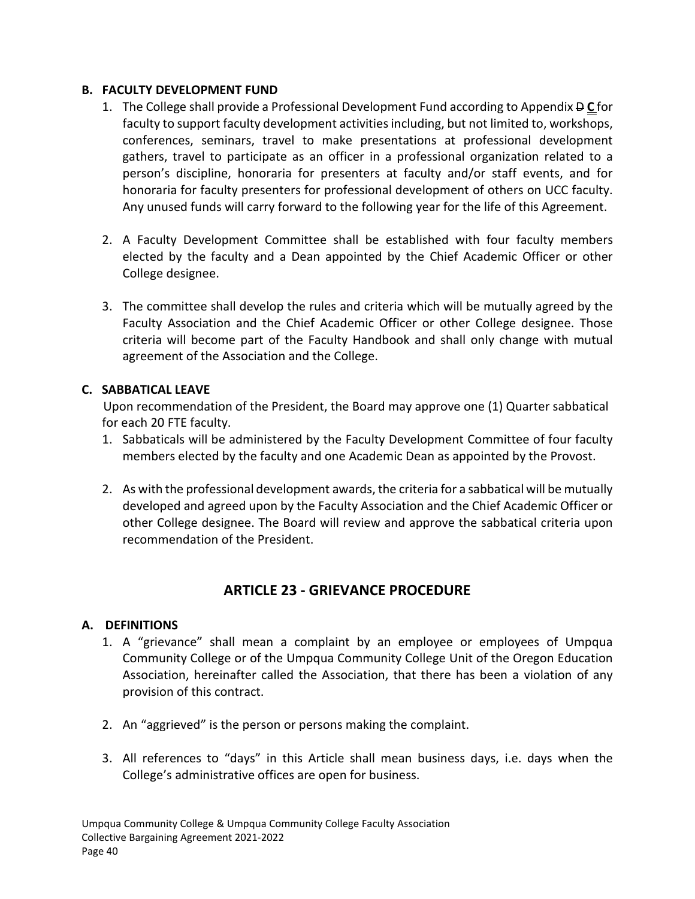#### <span id="page-46-0"></span>**B. FACULTY DEVELOPMENT FUND**

- 1. The College shall provide a Professional Development Fund according to Appendix D **C** for faculty to support faculty development activities including, but not limited to, workshops, conferences, seminars, travel to make presentations at professional development gathers, travel to participate as an officer in a professional organization related to a person's discipline, honoraria for presenters at faculty and/or staff events, and for honoraria for faculty presenters for professional development of others on UCC faculty. Any unused funds will carry forward to the following year for the life of this Agreement.
- 2. A Faculty Development Committee shall be established with four faculty members elected by the faculty and a Dean appointed by the Chief Academic Officer or other College designee.
- 3. The committee shall develop the rules and criteria which will be mutually agreed by the Faculty Association and the Chief Academic Officer or other College designee. Those criteria will become part of the Faculty Handbook and shall only change with mutual agreement of the Association and the College.

# <span id="page-46-1"></span>**C. SABBATICAL LEAVE**

Upon recommendation of the President, the Board may approve one (1) Quarter sabbatical for each 20 FTE faculty.

- 1. Sabbaticals will be administered by the Faculty Development Committee of four faculty members elected by the faculty and one Academic Dean as appointed by the Provost.
- 2. As with the professional development awards, the criteria for a sabbatical will be mutually developed and agreed upon by the Faculty Association and the Chief Academic Officer or other College designee. The Board will review and approve the sabbatical criteria upon recommendation of the President.

# **ARTICLE 23 - GRIEVANCE PROCEDURE**

#### <span id="page-46-2"></span>**A. DEFINITIONS**

- <span id="page-46-3"></span>1. A "grievance" shall mean a complaint by an employee or employees of Umpqua Community College or of the Umpqua Community College Unit of the Oregon Education Association, hereinafter called the Association, that there has been a violation of any provision of this contract.
- 2. An "aggrieved" is the person or persons making the complaint.
- 3. All references to "days" in this Article shall mean business days, i.e. days when the College's administrative offices are open for business.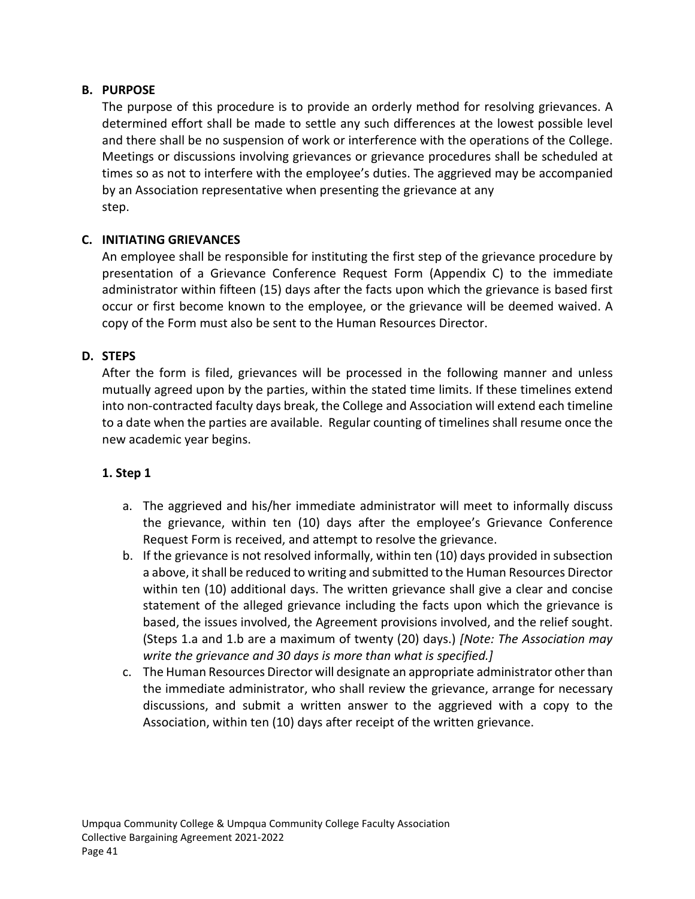## <span id="page-47-0"></span>**B. PURPOSE**

The purpose of this procedure is to provide an orderly method for resolving grievances. A determined effort shall be made to settle any such differences at the lowest possible level and there shall be no suspension of work or interference with the operations of the College. Meetings or discussions involving grievances or grievance procedures shall be scheduled at times so as not to interfere with the employee's duties. The aggrieved may be accompanied by an Association representative when presenting the grievance at any step.

## <span id="page-47-1"></span>**C. INITIATING GRIEVANCES**

An employee shall be responsible for instituting the first step of the grievance procedure by presentation of a Grievance Conference Request Form (Appendix C) to the immediate administrator within fifteen (15) days after the facts upon which the grievance is based first occur or first become known to the employee, or the grievance will be deemed waived. A copy of the Form must also be sent to the Human Resources Director.

#### <span id="page-47-2"></span>**D. STEPS**

After the form is filed, grievances will be processed in the following manner and unless mutually agreed upon by the parties, within the stated time limits. If these timelines extend into non-contracted faculty days break, the College and Association will extend each timeline to a date when the parties are available. Regular counting of timelines shall resume once the new academic year begins.

#### **1. Step 1**

- a. The aggrieved and his/her immediate administrator will meet to informally discuss the grievance, within ten (10) days after the employee's Grievance Conference Request Form is received, and attempt to resolve the grievance.
- b. If the grievance is not resolved informally, within ten (10) days provided in subsection a above, it shall be reduced to writing and submitted to the Human Resources Director within ten (10) additional days. The written grievance shall give a clear and concise statement of the alleged grievance including the facts upon which the grievance is based, the issues involved, the Agreement provisions involved, and the relief sought. (Steps 1.a and 1.b are a maximum of twenty (20) days.) *[Note: The Association may write the grievance and 30 days is more than what is specified.]*
- c. The Human Resources Director will designate an appropriate administrator other than the immediate administrator, who shall review the grievance, arrange for necessary discussions, and submit a written answer to the aggrieved with a copy to the Association, within ten (10) days after receipt of the written grievance.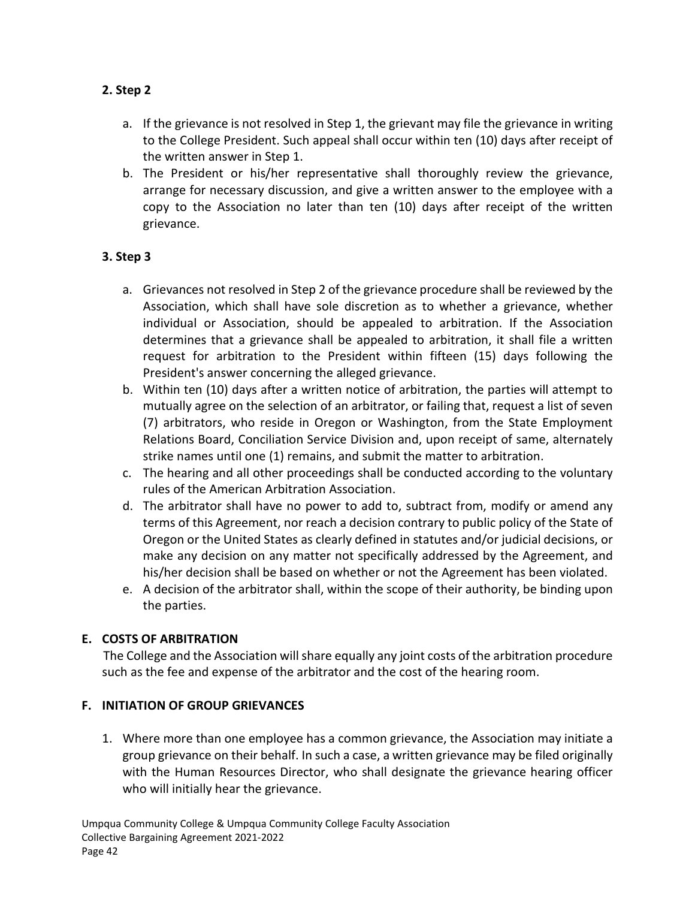# **2. Step 2**

- a. If the grievance is not resolved in Step 1, the grievant may file the grievance in writing to the College President. Such appeal shall occur within ten (10) days after receipt of the written answer in Step 1.
- b. The President or his/her representative shall thoroughly review the grievance, arrange for necessary discussion, and give a written answer to the employee with a copy to the Association no later than ten (10) days after receipt of the written grievance.

## **3. Step 3**

- a. Grievances not resolved in Step 2 of the grievance procedure shall be reviewed by the Association, which shall have sole discretion as to whether a grievance, whether individual or Association, should be appealed to arbitration. If the Association determines that a grievance shall be appealed to arbitration, it shall file a written request for arbitration to the President within fifteen (15) days following the President's answer concerning the alleged grievance.
- b. Within ten (10) days after a written notice of arbitration, the parties will attempt to mutually agree on the selection of an arbitrator, or failing that, request a list of seven (7) arbitrators, who reside in Oregon or Washington, from the State Employment Relations Board, Conciliation Service Division and, upon receipt of same, alternately strike names until one (1) remains, and submit the matter to arbitration.
- c. The hearing and all other proceedings shall be conducted according to the voluntary rules of the American Arbitration Association.
- d. The arbitrator shall have no power to add to, subtract from, modify or amend any terms of this Agreement, nor reach a decision contrary to public policy of the State of Oregon or the United States as clearly defined in statutes and/or judicial decisions, or make any decision on any matter not specifically addressed by the Agreement, and his/her decision shall be based on whether or not the Agreement has been violated.
- e. A decision of the arbitrator shall, within the scope of their authority, be binding upon the parties.

# <span id="page-48-0"></span>**E. COSTS OF ARBITRATION**

The College and the Association will share equally any joint costs of the arbitration procedure such as the fee and expense of the arbitrator and the cost of the hearing room.

#### <span id="page-48-1"></span>**F. INITIATION OF GROUP GRIEVANCES**

1. Where more than one employee has a common grievance, the Association may initiate a group grievance on their behalf. In such a case, a written grievance may be filed originally with the Human Resources Director, who shall designate the grievance hearing officer who will initially hear the grievance.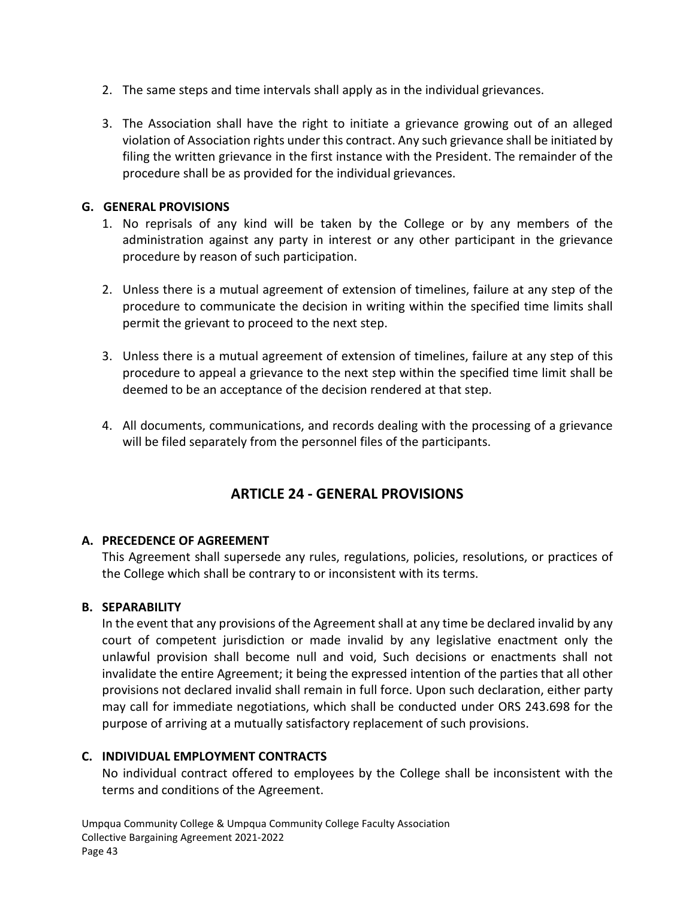- 2. The same steps and time intervals shall apply as in the individual grievances.
- 3. The Association shall have the right to initiate a grievance growing out of an alleged violation of Association rights under this contract. Any such grievance shall be initiated by filing the written grievance in the first instance with the President. The remainder of the procedure shall be as provided for the individual grievances.

## <span id="page-49-0"></span>**G. GENERAL PROVISIONS**

- 1. No reprisals of any kind will be taken by the College or by any members of the administration against any party in interest or any other participant in the grievance procedure by reason of such participation.
- 2. Unless there is a mutual agreement of extension of timelines, failure at any step of the procedure to communicate the decision in writing within the specified time limits shall permit the grievant to proceed to the next step.
- 3. Unless there is a mutual agreement of extension of timelines, failure at any step of this procedure to appeal a grievance to the next step within the specified time limit shall be deemed to be an acceptance of the decision rendered at that step.
- 4. All documents, communications, and records dealing with the processing of a grievance will be filed separately from the personnel files of the participants.

# **ARTICLE 24 - GENERAL PROVISIONS**

#### <span id="page-49-2"></span><span id="page-49-1"></span>**A. PRECEDENCE OF AGREEMENT**

This Agreement shall supersede any rules, regulations, policies, resolutions, or practices of the College which shall be contrary to or inconsistent with its terms.

#### <span id="page-49-3"></span>**B. SEPARABILITY**

In the event that any provisions of the Agreement shall at any time be declared invalid by any court of competent jurisdiction or made invalid by any legislative enactment only the unlawful provision shall become null and void, Such decisions or enactments shall not invalidate the entire Agreement; it being the expressed intention of the parties that all other provisions not declared invalid shall remain in full force. Upon such declaration, either party may call for immediate negotiations, which shall be conducted under ORS 243.698 for the purpose of arriving at a mutually satisfactory replacement of such provisions.

#### <span id="page-49-4"></span>**C. INDIVIDUAL EMPLOYMENT CONTRACTS**

No individual contract offered to employees by the College shall be inconsistent with the terms and conditions of the Agreement.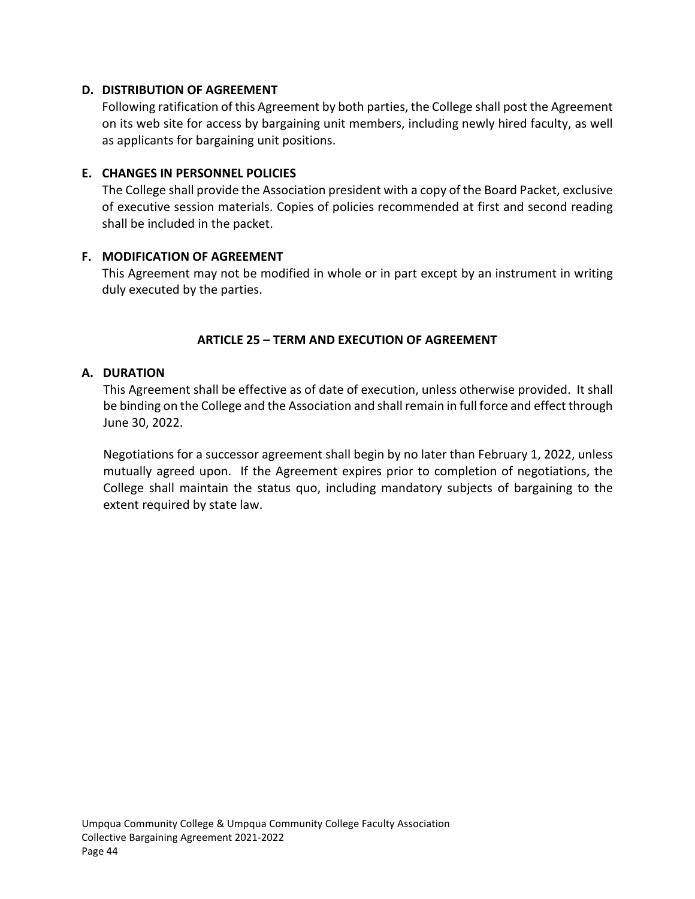#### <span id="page-50-0"></span>**D. DISTRIBUTION OF AGREEMENT**

Following ratification of this Agreement by both parties, the College shall post the Agreement on its web site for access by bargaining unit members, including newly hired faculty, as well as applicants for bargaining unit positions.

#### <span id="page-50-1"></span>**E. CHANGES IN PERSONNEL POLICIES**

The College shall provide the Association president with a copy of the Board Packet, exclusive of executive session materials. Copies of policies recommended at first and second reading shall be included in the packet.

#### <span id="page-50-2"></span>**F. MODIFICATION OF AGREEMENT**

This Agreement may not be modified in whole or in part except by an instrument in writing duly executed by the parties.

#### **ARTICLE 25 – TERM AND EXECUTION OF AGREEMENT**

#### <span id="page-50-4"></span><span id="page-50-3"></span>**A. DURATION**

This Agreement shall be effective as of date of execution, unless otherwise provided. It shall be binding on the College and the Association and shall remain in full force and effect through June 30, 2022.

Negotiations for a successor agreement shall begin by no later than February 1, 2022, unless mutually agreed upon. If the Agreement expires prior to completion of negotiations, the College shall maintain the status quo, including mandatory subjects of bargaining to the extent required by state law.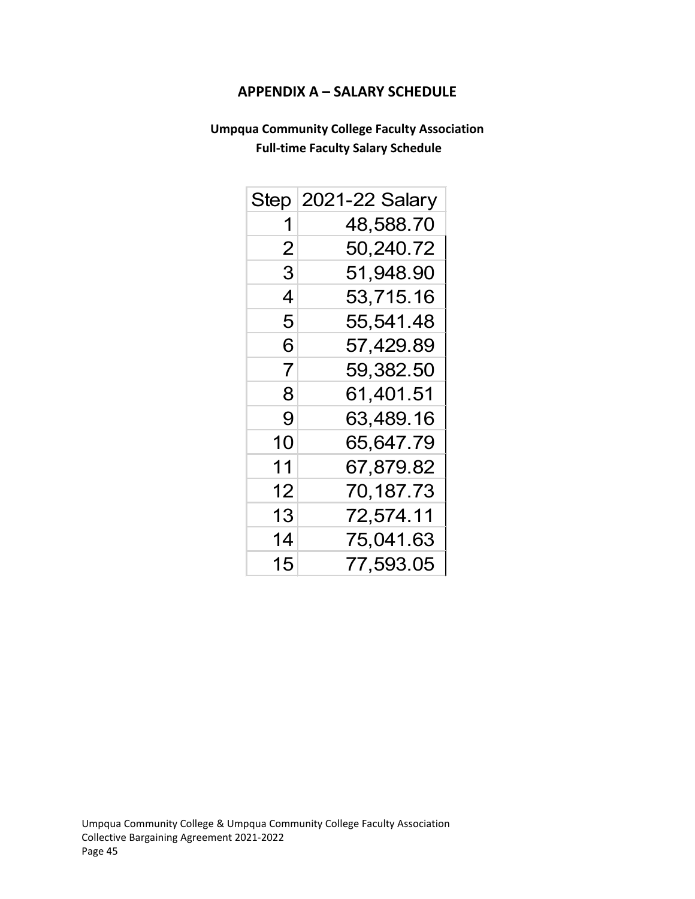## **APPENDIX A – SALARY SCHEDULE**

# <span id="page-51-0"></span>**Umpqua Community College Faculty Association Full-time Faculty Salary Schedule**

| Step | 2021-22 Salary |
|------|----------------|
| 1    | 48,588.70      |
| 2    | 50,240.72      |
| 3    | 51,948.90      |
| 4    | 53,715.16      |
| 5    | 55,541.48      |
| 6    | 57,429.89      |
| 7    | 59,382.50      |
| 8    | 61,401.51      |
| 9    | 63,489.16      |
| 10   | 65,647.79      |
| 11   | 67,879.82      |
| 12   | 70,187.73      |
| 13   | 72,574.11      |
| 14   | 75,041.63      |
| 15   | 77,593.05      |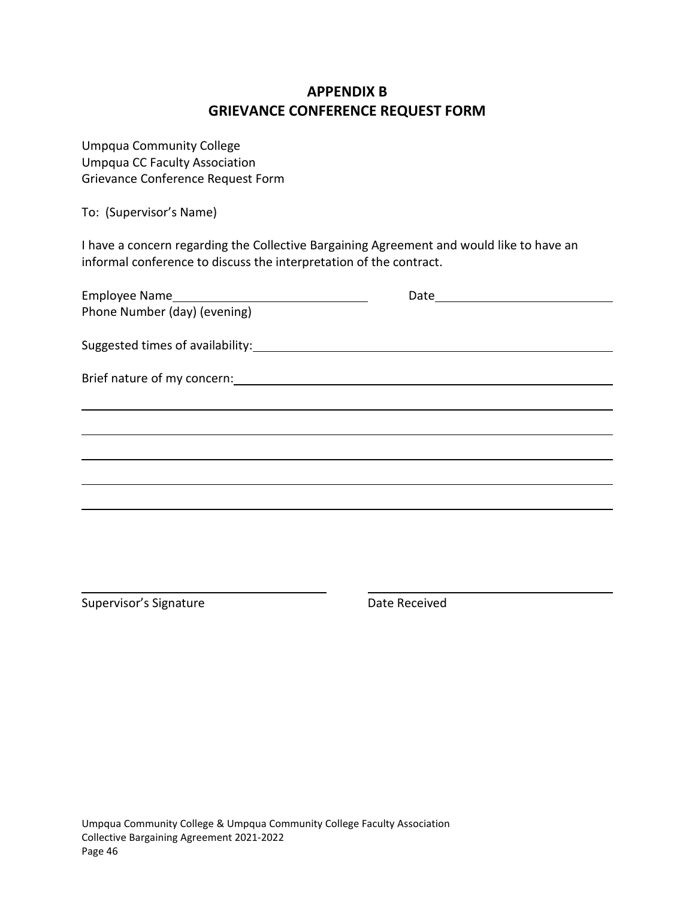# **APPENDIX B GRIEVANCE CONFERENCE REQUEST FORM**

<span id="page-52-0"></span>Umpqua Community College Umpqua CC Faculty Association Grievance Conference Request Form

To: (Supervisor's Name)

I have a concern regarding the Collective Bargaining Agreement and would like to have an informal conference to discuss the interpretation of the contract.

|                              | Date ___________________________ |  |
|------------------------------|----------------------------------|--|
| Phone Number (day) (evening) |                                  |  |
|                              |                                  |  |
|                              |                                  |  |
|                              |                                  |  |
|                              |                                  |  |
|                              |                                  |  |
|                              |                                  |  |
|                              |                                  |  |
|                              |                                  |  |
|                              |                                  |  |
|                              |                                  |  |

Supervisor's Signature **Date Received**